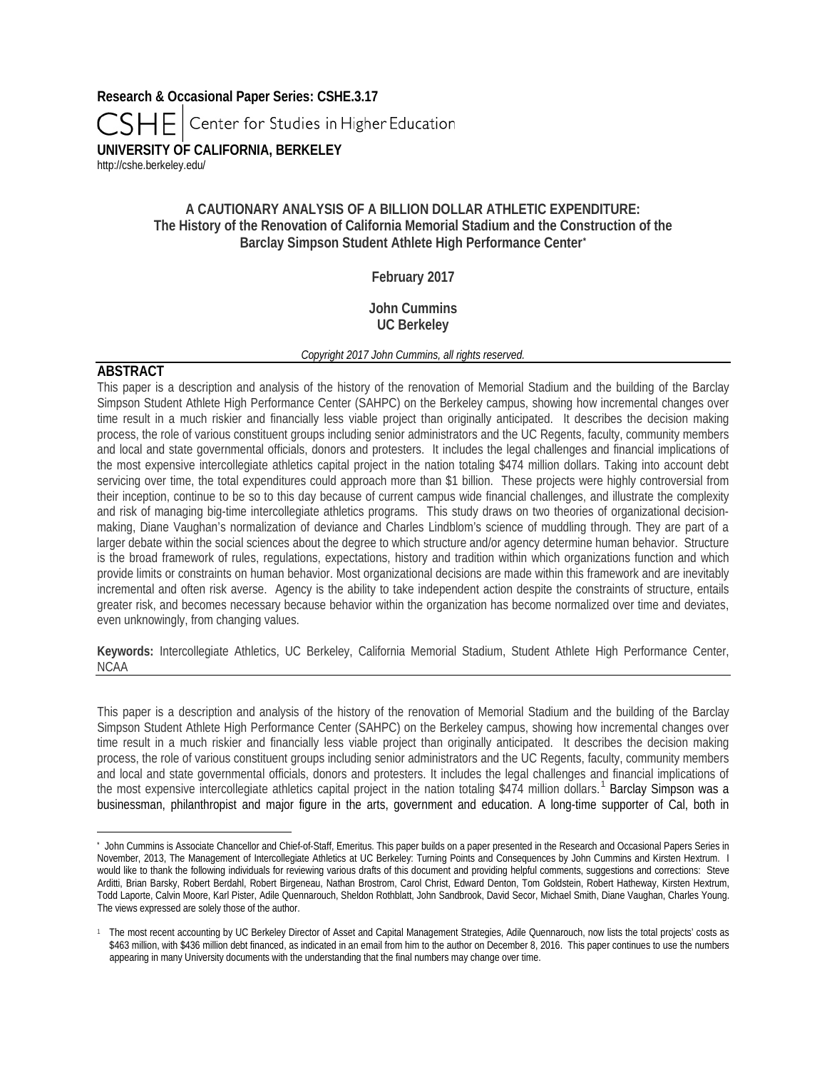**Research & Occasional Paper Series: CSHE.3.17** Center for Studies in Higher Education **UNIVERSITY OF CALIFORNIA, BERKELEY** <http://cshe.berkeley.edu/>

# **A CAUTIONARY ANALYSIS OF A BILLION DOLLAR ATHLETIC EXPENDITURE: The History of the Renovation of California Memorial Stadium and the Construction of the Barclay Simpson Student Athlete High Performance Center[\\*](#page-0-0)**

# **February 2017**

# **John Cummins UC Berkeley**

## *Copyright 2017 John Cummins, all rights reserved.*

# **ABSTRACT**

 $\overline{a}$ 

This paper is a description and analysis of the history of the renovation of Memorial Stadium and the building of the Barclay Simpson Student Athlete High Performance Center (SAHPC) on the Berkeley campus, showing how incremental changes over time result in a much riskier and financially less viable project than originally anticipated. It describes the decision making process, the role of various constituent groups including senior administrators and the UC Regents, faculty, community members and local and state governmental officials, donors and protesters. It includes the legal challenges and financial implications of the most expensive intercollegiate athletics capital project in the nation totaling \$474 million dollars. Taking into account debt servicing over time, the total expenditures could approach more than \$1 billion. These projects were highly controversial from their inception, continue to be so to this day because of current campus wide financial challenges, and illustrate the complexity and risk of managing big-time intercollegiate athletics programs. This study draws on two theories of organizational decisionmaking, Diane Vaughan's normalization of deviance and Charles Lindblom's science of muddling through. They are part of a larger debate within the social sciences about the degree to which structure and/or agency determine human behavior. Structure is the broad framework of rules, regulations, expectations, history and tradition within which organizations function and which provide limits or constraints on human behavior. Most organizational decisions are made within this framework and are inevitably incremental and often risk averse. Agency is the ability to take independent action despite the constraints of structure, entails greater risk, and becomes necessary because behavior within the organization has become normalized over time and deviates, even unknowingly, from changing values.

**Keywords:** Intercollegiate Athletics, UC Berkeley, California Memorial Stadium, Student Athlete High Performance Center, NCAA

This paper is a description and analysis of the history of the renovation of Memorial Stadium and the building of the Barclay Simpson Student Athlete High Performance Center (SAHPC) on the Berkeley campus, showing how incremental changes over time result in a much riskier and financially less viable project than originally anticipated. It describes the decision making process, the role of various constituent groups including senior administrators and the UC Regents, faculty, community members and local and state governmental officials, donors and protesters. It includes the legal challenges and financial implications of the most expensive intercollegiate athletics capital project in the nation totaling \$474 million dollars.<sup>[1](#page-0-1)</sup> Barclay Simpson was a businessman, philanthropist and major figure in the arts, government and education. A long-time supporter of Cal, both in

<span id="page-0-0"></span>**<sup>\*</sup>** John Cummins is Associate Chancellor and Chief-of-Staff, Emeritus. This paper builds on a paper presented in the Research and Occasional Papers Series in November, 2013, The Management of Intercollegiate Athletics at UC Berkeley: Turning Points and Consequences by John Cummins and Kirsten Hextrum. I would like to thank the following individuals for reviewing various drafts of this document and providing helpful comments, suggestions and corrections: Steve Arditti, Brian Barsky, Robert Berdahl, Robert Birgeneau, Nathan Brostrom, Carol Christ, Edward Denton, Tom Goldstein, Robert Hatheway, Kirsten Hextrum, Todd Laporte, Calvin Moore, Karl Pister, Adile Quennarouch, Sheldon Rothblatt, John Sandbrook, David Secor, Michael Smith, Diane Vaughan, Charles Young. The views expressed are solely those of the author.

<span id="page-0-1"></span><sup>&</sup>lt;sup>1</sup> The most recent accounting by UC Berkeley Director of Asset and Capital Management Strategies, Adile Quennarouch, now lists the total projects' costs as \$463 million, with \$436 million debt financed, as indicated in an email from him to the author on December 8, 2016. This paper continues to use the numbers appearing in many University documents with the understanding that the final numbers may change over time.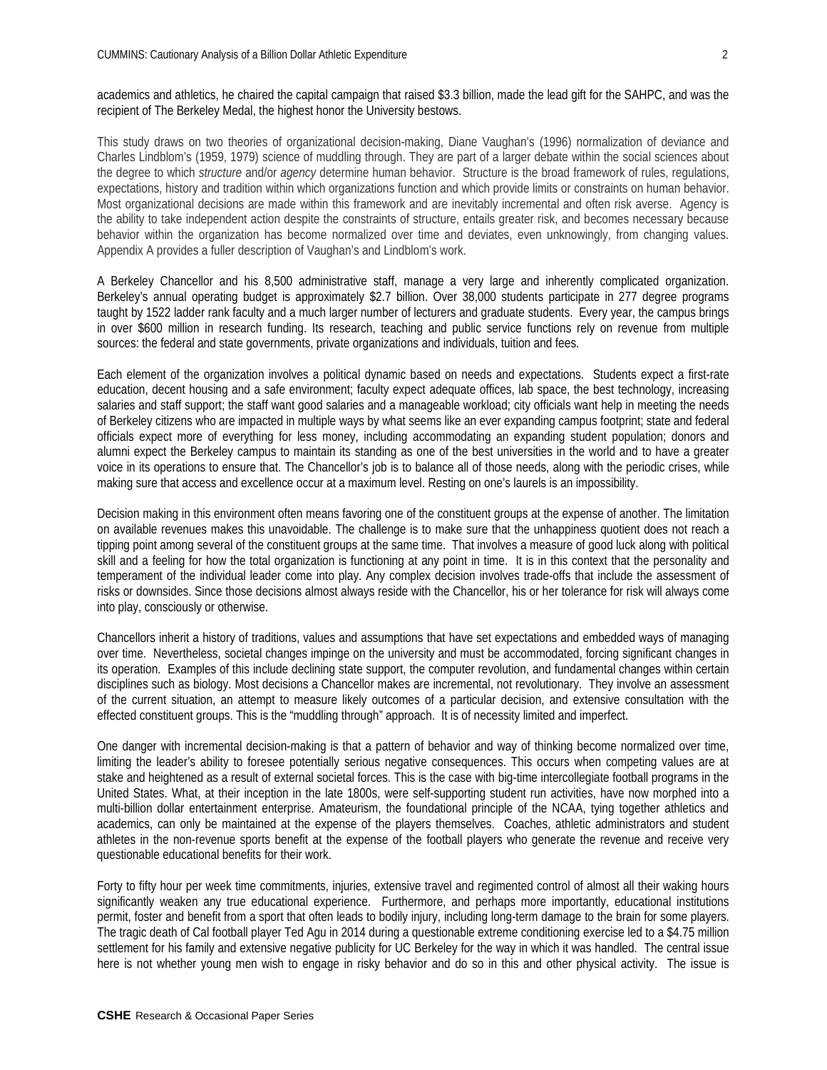academics and athletics, he chaired the capital campaign that raised \$3.3 billion, made the lead gift for the SAHPC, and was the recipient of The Berkeley Medal, the highest honor the University bestows.

This study draws on two theories of organizational decision-making, Diane Vaughan's (1996) normalization of deviance and Charles Lindblom's (1959, 1979) science of muddling through. They are part of a larger debate within the social sciences about the degree to which *structure* and/or *agency* determine human behavior. Structure is the broad framework of rules, regulations, expectations, history and tradition within which organizations function and which provide limits or constraints on human behavior. Most organizational decisions are made within this framework and are inevitably incremental and often risk averse. Agency is the ability to take independent action despite the constraints of structure, entails greater risk, and becomes necessary because behavior within the organization has become normalized over time and deviates, even unknowingly, from changing values. Appendix A provides a fuller description of Vaughan's and Lindblom's work.

A Berkeley Chancellor and his 8,500 administrative staff, manage a very large and inherently complicated organization. Berkeley's annual operating budget is approximately \$2.7 billion. Over 38,000 students participate in 277 degree programs taught by 1522 ladder rank faculty and a much larger number of lecturers and graduate students. Every year, the campus brings in over \$600 million in research funding. Its research, teaching and public service functions rely on revenue from multiple sources: the federal and state governments, private organizations and individuals, tuition and fees.

Each element of the organization involves a political dynamic based on needs and expectations. Students expect a first-rate education, decent housing and a safe environment; faculty expect adequate offices, lab space, the best technology, increasing salaries and staff support; the staff want good salaries and a manageable workload; city officials want help in meeting the needs of Berkeley citizens who are impacted in multiple ways by what seems like an ever expanding campus footprint; state and federal officials expect more of everything for less money, including accommodating an expanding student population; donors and alumni expect the Berkeley campus to maintain its standing as one of the best universities in the world and to have a greater voice in its operations to ensure that. The Chancellor's job is to balance all of those needs, along with the periodic crises, while making sure that access and excellence occur at a maximum level. Resting on one's laurels is an impossibility.

Decision making in this environment often means favoring one of the constituent groups at the expense of another. The limitation on available revenues makes this unavoidable. The challenge is to make sure that the unhappiness quotient does not reach a tipping point among several of the constituent groups at the same time. That involves a measure of good luck along with political skill and a feeling for how the total organization is functioning at any point in time. It is in this context that the personality and temperament of the individual leader come into play. Any complex decision involves trade-offs that include the assessment of risks or downsides. Since those decisions almost always reside with the Chancellor, his or her tolerance for risk will always come into play, consciously or otherwise.

Chancellors inherit a history of traditions, values and assumptions that have set expectations and embedded ways of managing over time. Nevertheless, societal changes impinge on the university and must be accommodated, forcing significant changes in its operation. Examples of this include declining state support, the computer revolution, and fundamental changes within certain disciplines such as biology. Most decisions a Chancellor makes are incremental, not revolutionary. They involve an assessment of the current situation, an attempt to measure likely outcomes of a particular decision, and extensive consultation with the effected constituent groups. This is the "muddling through" approach. It is of necessity limited and imperfect.

One danger with incremental decision-making is that a pattern of behavior and way of thinking become normalized over time, limiting the leader's ability to foresee potentially serious negative consequences. This occurs when competing values are at stake and heightened as a result of external societal forces. This is the case with big-time intercollegiate football programs in the United States. What, at their inception in the late 1800s, were self-supporting student run activities, have now morphed into a multi-billion dollar entertainment enterprise. Amateurism, the foundational principle of the NCAA, tying together athletics and academics, can only be maintained at the expense of the players themselves. Coaches, athletic administrators and student athletes in the non-revenue sports benefit at the expense of the football players who generate the revenue and receive very questionable educational benefits for their work.

Forty to fifty hour per week time commitments, injuries, extensive travel and regimented control of almost all their waking hours significantly weaken any true educational experience. Furthermore, and perhaps more importantly, educational institutions permit, foster and benefit from a sport that often leads to bodily injury, including long-term damage to the brain for some players. The tragic death of Cal football player Ted Agu in 2014 during a questionable extreme conditioning exercise led to a \$4.75 million settlement for his family and extensive negative publicity for UC Berkeley for the way in which it was handled. The central issue here is not whether young men wish to engage in risky behavior and do so in this and other physical activity. The issue is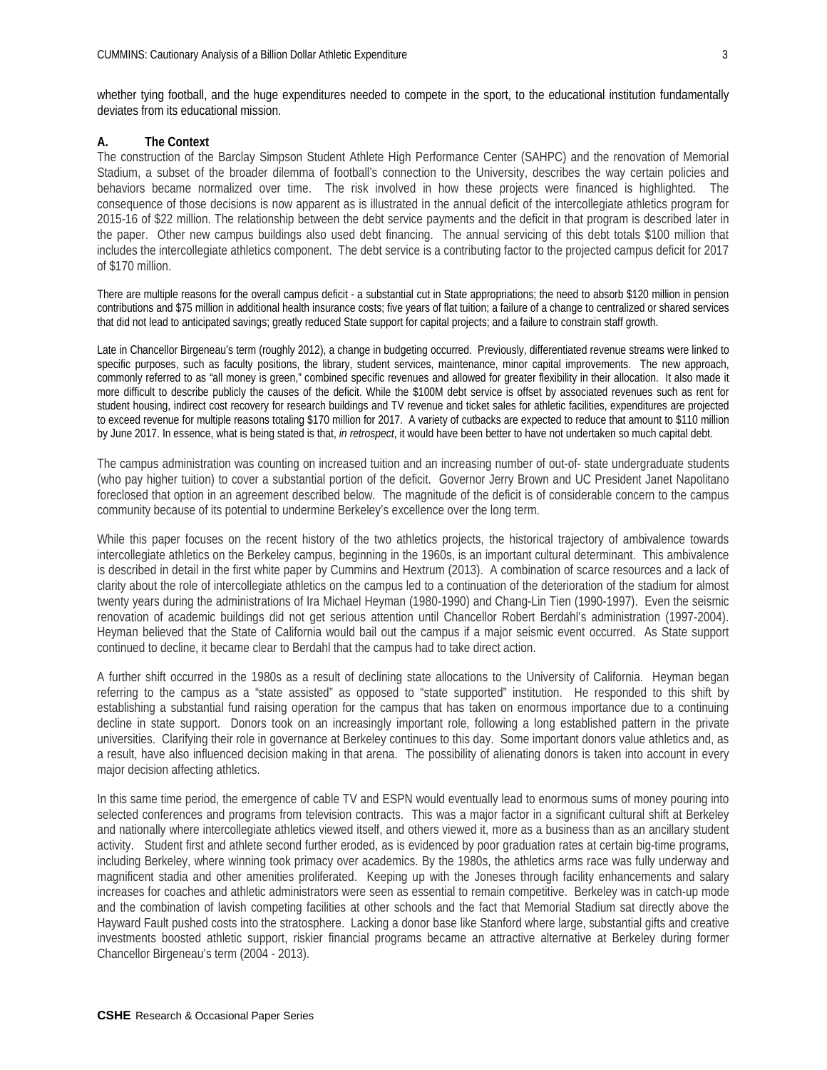whether tying football, and the huge expenditures needed to compete in the sport, to the educational institution fundamentally deviates from its educational mission.

## **A. The Context**

The construction of the Barclay Simpson Student Athlete High Performance Center (SAHPC) and the renovation of Memorial Stadium, a subset of the broader dilemma of football's connection to the University, describes the way certain policies and behaviors became normalized over time. The risk involved in how these projects were financed is highlighted. The consequence of those decisions is now apparent as is illustrated in the annual deficit of the intercollegiate athletics program for 2015-16 of \$22 million. The relationship between the debt service payments and the deficit in that program is described later in the paper. Other new campus buildings also used debt financing. The annual servicing of this debt totals \$100 million that includes the intercollegiate athletics component. The debt service is a contributing factor to the projected campus deficit for 2017 of \$170 million.

There are multiple reasons for the overall campus deficit - a substantial cut in State appropriations; the need to absorb \$120 million in pension contributions and \$75 million in additional health insurance costs; five years of flat tuition; a failure of a change to centralized or shared services that did not lead to anticipated savings; greatly reduced State support for capital projects; and a failure to constrain staff growth.

Late in Chancellor Birgeneau's term (roughly 2012), a change in budgeting occurred. Previously, differentiated revenue streams were linked to specific purposes, such as faculty positions, the library, student services, maintenance, minor capital improvements. The new approach, commonly referred to as "all money is green," combined specific revenues and allowed for greater flexibility in their allocation. It also made it more difficult to describe publicly the causes of the deficit. While the \$100M debt service is offset by associated revenues such as rent for student housing, indirect cost recovery for research buildings and TV revenue and ticket sales for athletic facilities, expenditures are projected to exceed revenue for multiple reasons totaling \$170 million for 2017. A variety of cutbacks are expected to reduce that amount to \$110 million by June 2017. In essence, what is being stated is that, *in retrospect*, it would have been better to have not undertaken so much capital debt.

The campus administration was counting on increased tuition and an increasing number of out-of- state undergraduate students (who pay higher tuition) to cover a substantial portion of the deficit. Governor Jerry Brown and UC President Janet Napolitano foreclosed that option in an agreement described below. The magnitude of the deficit is of considerable concern to the campus community because of its potential to undermine Berkeley's excellence over the long term.

While this paper focuses on the recent history of the two athletics projects, the historical trajectory of ambivalence towards intercollegiate athletics on the Berkeley campus, beginning in the 1960s, is an important cultural determinant. This ambivalence is described in detail in the first white paper by Cummins and Hextrum (2013). A combination of scarce resources and a lack of clarity about the role of intercollegiate athletics on the campus led to a continuation of the deterioration of the stadium for almost twenty years during the administrations of Ira Michael Heyman (1980-1990) and Chang-Lin Tien (1990-1997). Even the seismic renovation of academic buildings did not get serious attention until Chancellor Robert Berdahl's administration (1997-2004). Heyman believed that the State of California would bail out the campus if a major seismic event occurred. As State support continued to decline, it became clear to Berdahl that the campus had to take direct action.

A further shift occurred in the 1980s as a result of declining state allocations to the University of California. Heyman began referring to the campus as a "state assisted" as opposed to "state supported" institution. He responded to this shift by establishing a substantial fund raising operation for the campus that has taken on enormous importance due to a continuing decline in state support. Donors took on an increasingly important role, following a long established pattern in the private universities. Clarifying their role in governance at Berkeley continues to this day. Some important donors value athletics and, as a result, have also influenced decision making in that arena. The possibility of alienating donors is taken into account in every major decision affecting athletics.

In this same time period, the emergence of cable TV and ESPN would eventually lead to enormous sums of money pouring into selected conferences and programs from television contracts. This was a major factor in a significant cultural shift at Berkeley and nationally where intercollegiate athletics viewed itself, and others viewed it, more as a business than as an ancillary student activity. Student first and athlete second further eroded, as is evidenced by poor graduation rates at certain big-time programs, including Berkeley, where winning took primacy over academics. By the 1980s, the athletics arms race was fully underway and magnificent stadia and other amenities proliferated. Keeping up with the Joneses through facility enhancements and salary increases for coaches and athletic administrators were seen as essential to remain competitive. Berkeley was in catch-up mode and the combination of lavish competing facilities at other schools and the fact that Memorial Stadium sat directly above the Hayward Fault pushed costs into the stratosphere. Lacking a donor base like Stanford where large, substantial gifts and creative investments boosted athletic support, riskier financial programs became an attractive alternative at Berkeley during former Chancellor Birgeneau's term (2004 - 2013).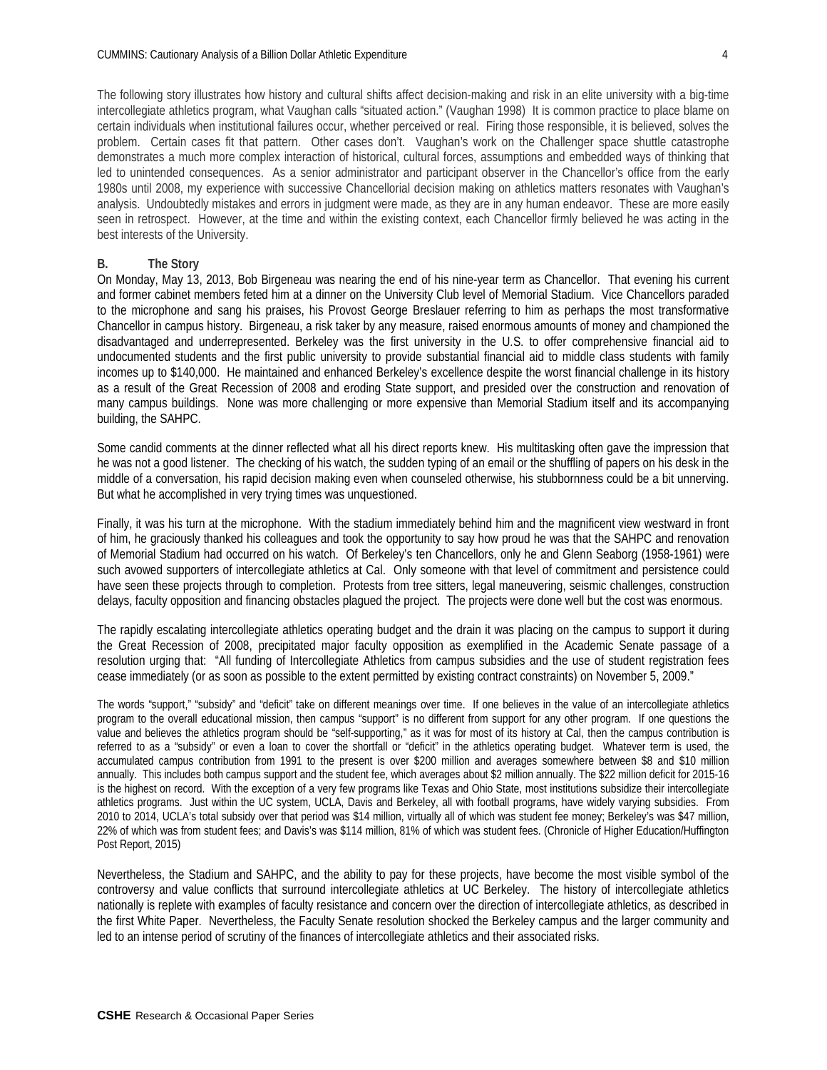The following story illustrates how history and cultural shifts affect decision-making and risk in an elite university with a big-time intercollegiate athletics program, what Vaughan calls "situated action." (Vaughan 1998) It is common practice to place blame on certain individuals when institutional failures occur, whether perceived or real. Firing those responsible, it is believed, solves the problem. Certain cases fit that pattern. Other cases don't. Vaughan's work on the Challenger space shuttle catastrophe demonstrates a much more complex interaction of historical, cultural forces, assumptions and embedded ways of thinking that led to unintended consequences. As a senior administrator and participant observer in the Chancellor's office from the early 1980s until 2008, my experience with successive Chancellorial decision making on athletics matters resonates with Vaughan's analysis. Undoubtedly mistakes and errors in judgment were made, as they are in any human endeavor. These are more easily seen in retrospect. However, at the time and within the existing context, each Chancellor firmly believed he was acting in the best interests of the University.

#### **B. The Story**

On Monday, May 13, 2013, Bob Birgeneau was nearing the end of his nine-year term as Chancellor. That evening his current and former cabinet members feted him at a dinner on the University Club level of Memorial Stadium. Vice Chancellors paraded to the microphone and sang his praises, his Provost George Breslauer referring to him as perhaps the most transformative Chancellor in campus history. Birgeneau, a risk taker by any measure, raised enormous amounts of money and championed the disadvantaged and underrepresented. Berkeley was the first university in the U.S. to offer comprehensive financial aid to undocumented students and the first public university to provide substantial financial aid to middle class students with family incomes up to \$140,000. He maintained and enhanced Berkeley's excellence despite the worst financial challenge in its history as a result of the Great Recession of 2008 and eroding State support, and presided over the construction and renovation of many campus buildings. None was more challenging or more expensive than Memorial Stadium itself and its accompanying building, the SAHPC.

Some candid comments at the dinner reflected what all his direct reports knew. His multitasking often gave the impression that he was not a good listener. The checking of his watch, the sudden typing of an email or the shuffling of papers on his desk in the middle of a conversation, his rapid decision making even when counseled otherwise, his stubbornness could be a bit unnerving. But what he accomplished in very trying times was unquestioned.

Finally, it was his turn at the microphone. With the stadium immediately behind him and the magnificent view westward in front of him, he graciously thanked his colleagues and took the opportunity to say how proud he was that the SAHPC and renovation of Memorial Stadium had occurred on his watch. Of Berkeley's ten Chancellors, only he and Glenn Seaborg (1958-1961) were such avowed supporters of intercollegiate athletics at Cal. Only someone with that level of commitment and persistence could have seen these projects through to completion. Protests from tree sitters, legal maneuvering, seismic challenges, construction delays, faculty opposition and financing obstacles plagued the project. The projects were done well but the cost was enormous.

The rapidly escalating intercollegiate athletics operating budget and the drain it was placing on the campus to support it during the Great Recession of 2008, precipitated major faculty opposition as exemplified in the Academic Senate passage of a resolution urging that: "All funding of Intercollegiate Athletics from campus subsidies and the use of student registration fees cease immediately (or as soon as possible to the extent permitted by existing contract constraints) on November 5, 2009."

The words "support," "subsidy" and "deficit" take on different meanings over time. If one believes in the value of an intercollegiate athletics program to the overall educational mission, then campus "support" is no different from support for any other program. If one questions the value and believes the athletics program should be "self-supporting," as it was for most of its history at Cal, then the campus contribution is referred to as a "subsidy" or even a loan to cover the shortfall or "deficit" in the athletics operating budget. Whatever term is used, the accumulated campus contribution from 1991 to the present is over \$200 million and averages somewhere between \$8 and \$10 million annually. This includes both campus support and the student fee, which averages about \$2 million annually. The \$22 million deficit for 2015-16 is the highest on record. With the exception of a very few programs like Texas and Ohio State, most institutions subsidize their intercollegiate athletics programs. Just within the UC system, UCLA, Davis and Berkeley, all with football programs, have widely varying subsidies. From 2010 to 2014, UCLA's total subsidy over that period was \$14 million, virtually all of which was student fee money; Berkeley's was \$47 million, 22% of which was from student fees; and Davis's was \$114 million, 81% of which was student fees. (Chronicle of Higher Education/Huffington Post Report, 2015)

Nevertheless, the Stadium and SAHPC, and the ability to pay for these projects, have become the most visible symbol of the controversy and value conflicts that surround intercollegiate athletics at UC Berkeley. The history of intercollegiate athletics nationally is replete with examples of faculty resistance and concern over the direction of intercollegiate athletics, as described in the first White Paper. Nevertheless, the Faculty Senate resolution shocked the Berkeley campus and the larger community and led to an intense period of scrutiny of the finances of intercollegiate athletics and their associated risks.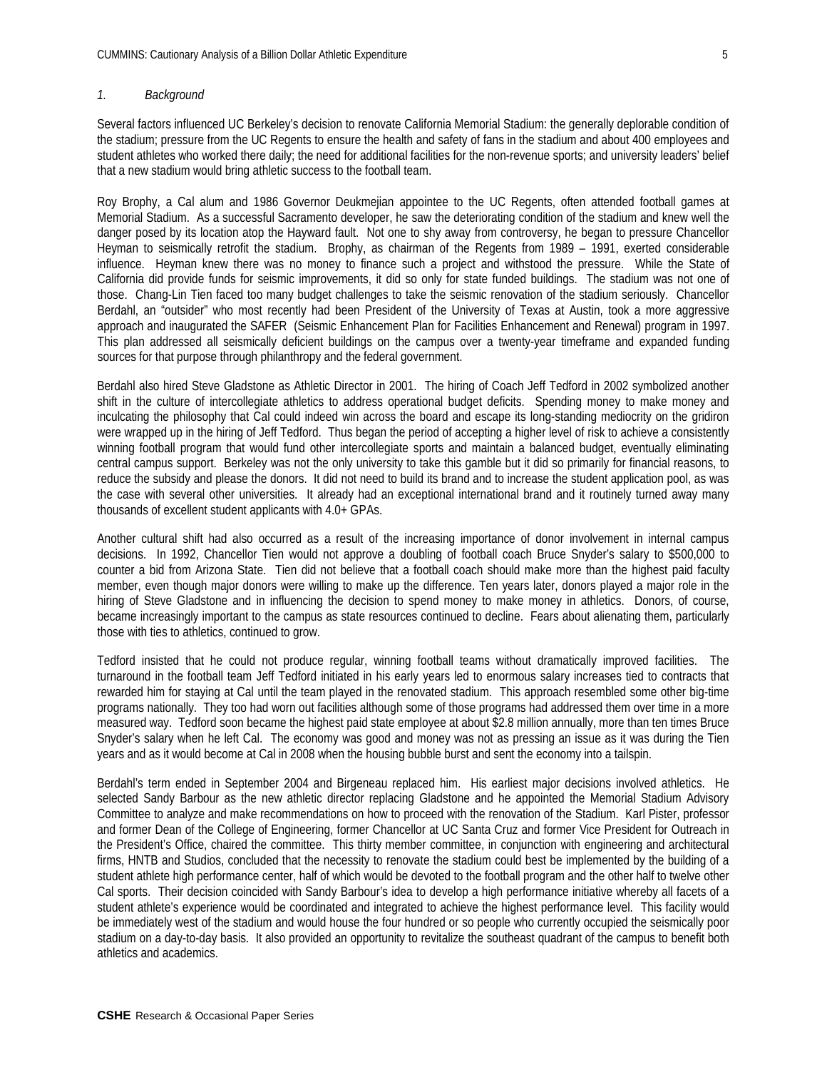#### *1. Background*

Several factors influenced UC Berkeley's decision to renovate California Memorial Stadium: the generally deplorable condition of the stadium; pressure from the UC Regents to ensure the health and safety of fans in the stadium and about 400 employees and student athletes who worked there daily; the need for additional facilities for the non-revenue sports; and university leaders' belief that a new stadium would bring athletic success to the football team.

Roy Brophy, a Cal alum and 1986 Governor Deukmejian appointee to the UC Regents, often attended football games at Memorial Stadium. As a successful Sacramento developer, he saw the deteriorating condition of the stadium and knew well the danger posed by its location atop the Hayward fault. Not one to shy away from controversy, he began to pressure Chancellor Heyman to seismically retrofit the stadium. Brophy, as chairman of the Regents from 1989 – 1991, exerted considerable influence. Heyman knew there was no money to finance such a project and withstood the pressure. While the State of California did provide funds for seismic improvements, it did so only for state funded buildings. The stadium was not one of those. Chang-Lin Tien faced too many budget challenges to take the seismic renovation of the stadium seriously. Chancellor Berdahl, an "outsider" who most recently had been President of the University of Texas at Austin, took a more aggressive approach and inaugurated the SAFER (Seismic Enhancement Plan for Facilities Enhancement and Renewal) program in 1997. This plan addressed all seismically deficient buildings on the campus over a twenty-year timeframe and expanded funding sources for that purpose through philanthropy and the federal government.

Berdahl also hired Steve Gladstone as Athletic Director in 2001. The hiring of Coach Jeff Tedford in 2002 symbolized another shift in the culture of intercollegiate athletics to address operational budget deficits. Spending money to make money and inculcating the philosophy that Cal could indeed win across the board and escape its long-standing mediocrity on the gridiron were wrapped up in the hiring of Jeff Tedford. Thus began the period of accepting a higher level of risk to achieve a consistently winning football program that would fund other intercollegiate sports and maintain a balanced budget, eventually eliminating central campus support. Berkeley was not the only university to take this gamble but it did so primarily for financial reasons, to reduce the subsidy and please the donors. It did not need to build its brand and to increase the student application pool, as was the case with several other universities. It already had an exceptional international brand and it routinely turned away many thousands of excellent student applicants with 4.0+ GPAs.

Another cultural shift had also occurred as a result of the increasing importance of donor involvement in internal campus decisions. In 1992, Chancellor Tien would not approve a doubling of football coach Bruce Snyder's salary to \$500,000 to counter a bid from Arizona State. Tien did not believe that a football coach should make more than the highest paid faculty member, even though major donors were willing to make up the difference. Ten years later, donors played a major role in the hiring of Steve Gladstone and in influencing the decision to spend money to make money in athletics. Donors, of course, became increasingly important to the campus as state resources continued to decline. Fears about alienating them, particularly those with ties to athletics, continued to grow.

Tedford insisted that he could not produce regular, winning football teams without dramatically improved facilities. The turnaround in the football team Jeff Tedford initiated in his early years led to enormous salary increases tied to contracts that rewarded him for staying at Cal until the team played in the renovated stadium. This approach resembled some other big-time programs nationally. They too had worn out facilities although some of those programs had addressed them over time in a more measured way. Tedford soon became the highest paid state employee at about \$2.8 million annually, more than ten times Bruce Snyder's salary when he left Cal. The economy was good and money was not as pressing an issue as it was during the Tien years and as it would become at Cal in 2008 when the housing bubble burst and sent the economy into a tailspin.

Berdahl's term ended in September 2004 and Birgeneau replaced him. His earliest major decisions involved athletics. He selected Sandy Barbour as the new athletic director replacing Gladstone and he appointed the Memorial Stadium Advisory Committee to analyze and make recommendations on how to proceed with the renovation of the Stadium. Karl Pister, professor and former Dean of the College of Engineering, former Chancellor at UC Santa Cruz and former Vice President for Outreach in the President's Office, chaired the committee. This thirty member committee, in conjunction with engineering and architectural firms, HNTB and Studios, concluded that the necessity to renovate the stadium could best be implemented by the building of a student athlete high performance center, half of which would be devoted to the football program and the other half to twelve other Cal sports. Their decision coincided with Sandy Barbour's idea to develop a high performance initiative whereby all facets of a student athlete's experience would be coordinated and integrated to achieve the highest performance level. This facility would be immediately west of the stadium and would house the four hundred or so people who currently occupied the seismically poor stadium on a day-to-day basis. It also provided an opportunity to revitalize the southeast quadrant of the campus to benefit both athletics and academics.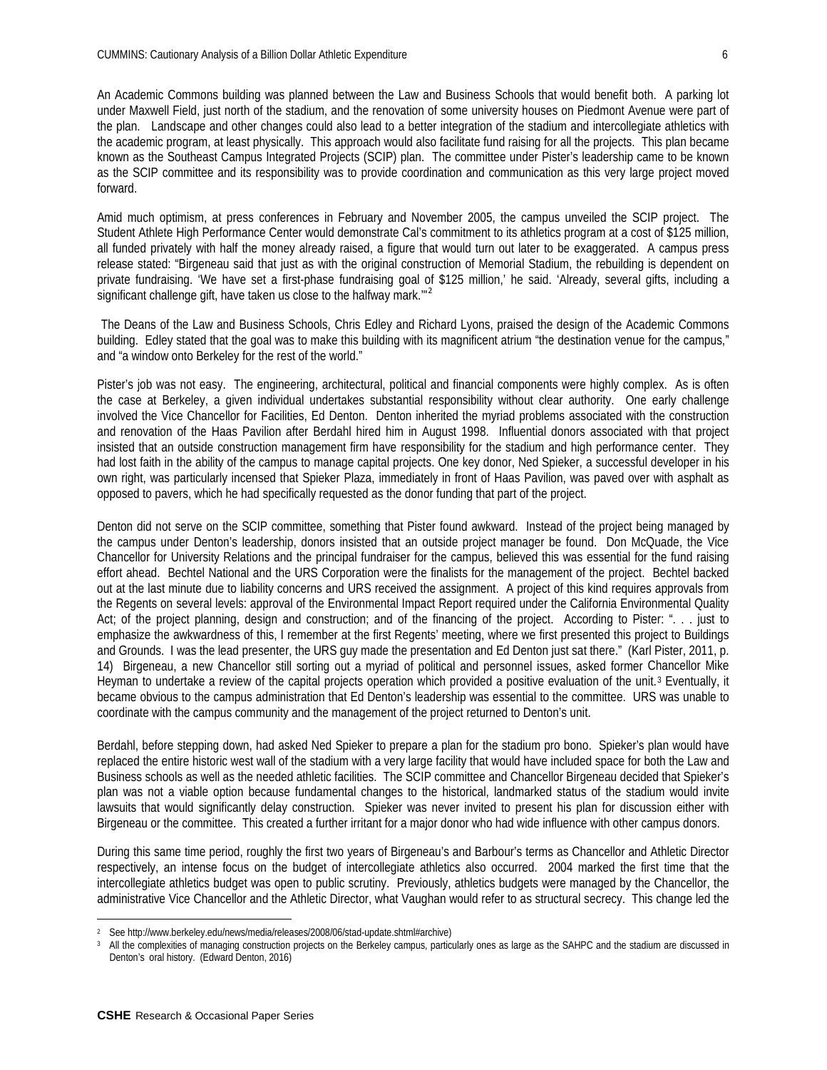An Academic Commons building was planned between the Law and Business Schools that would benefit both. A parking lot under Maxwell Field, just north of the stadium, and the renovation of some university houses on Piedmont Avenue were part of the plan. Landscape and other changes could also lead to a better integration of the stadium and intercollegiate athletics with the academic program, at least physically. This approach would also facilitate fund raising for all the projects. This plan became known as the Southeast Campus Integrated Projects (SCIP) plan. The committee under Pister's leadership came to be known as the SCIP committee and its responsibility was to provide coordination and communication as this very large project moved forward.

Amid much optimism, at press conferences in February and November 2005, the campus unveiled the SCIP project. The Student Athlete High Performance Center would demonstrate Cal's commitment to its athletics program at a cost of \$125 million, all funded privately with half the money already raised, a figure that would turn out later to be exaggerated. A campus press release stated: "Birgeneau said that just as with the original construction of Memorial Stadium, the rebuilding is dependent on private fundraising. 'We have set a first-phase fundraising goal of \$125 million,' he said. 'Already, several gifts, including a significant challenge gift, have taken us close to the halfway mark."<sup>[2](#page-5-0)</sup>

The Deans of the Law and Business Schools, Chris Edley and Richard Lyons, praised the design of the Academic Commons building. Edley stated that the goal was to make this building with its magnificent atrium "the destination venue for the campus," and "a window onto Berkeley for the rest of the world."

Pister's job was not easy. The engineering, architectural, political and financial components were highly complex. As is often the case at Berkeley, a given individual undertakes substantial responsibility without clear authority. One early challenge involved the Vice Chancellor for Facilities, Ed Denton. Denton inherited the myriad problems associated with the construction and renovation of the Haas Pavilion after Berdahl hired him in August 1998. Influential donors associated with that project insisted that an outside construction management firm have responsibility for the stadium and high performance center. They had lost faith in the ability of the campus to manage capital projects. One key donor, Ned Spieker, a successful developer in his own right, was particularly incensed that Spieker Plaza, immediately in front of Haas Pavilion, was paved over with asphalt as opposed to pavers, which he had specifically requested as the donor funding that part of the project.

Denton did not serve on the SCIP committee, something that Pister found awkward. Instead of the project being managed by the campus under Denton's leadership, donors insisted that an outside project manager be found. Don McQuade, the Vice Chancellor for University Relations and the principal fundraiser for the campus, believed this was essential for the fund raising effort ahead. Bechtel National and the URS Corporation were the finalists for the management of the project. Bechtel backed out at the last minute due to liability concerns and URS received the assignment. A project of this kind requires approvals from the Regents on several levels: approval of the Environmental Impact Report required under the California Environmental Quality Act; of the project planning, design and construction; and of the financing of the project. According to Pister: ". . . just to emphasize the awkwardness of this, I remember at the first Regents' meeting, where we first presented this project to Buildings and Grounds. I was the lead presenter, the URS guy made the presentation and Ed Denton just sat there." (Karl Pister, 2011, p. 14) Birgeneau, a new Chancellor still sorting out a myriad of political and personnel issues, asked former Chancellor Mike Heyman to undertake a review of the capital projects operation which provided a positive evaluation of the unit.[3](#page-5-1) Eventually, it became obvious to the campus administration that Ed Denton's leadership was essential to the committee. URS was unable to coordinate with the campus community and the management of the project returned to Denton's unit.

Berdahl, before stepping down, had asked Ned Spieker to prepare a plan for the stadium pro bono. Spieker's plan would have replaced the entire historic west wall of the stadium with a very large facility that would have included space for both the Law and Business schools as well as the needed athletic facilities. The SCIP committee and Chancellor Birgeneau decided that Spieker's plan was not a viable option because fundamental changes to the historical, landmarked status of the stadium would invite lawsuits that would significantly delay construction. Spieker was never invited to present his plan for discussion either with Birgeneau or the committee. This created a further irritant for a major donor who had wide influence with other campus donors.

During this same time period, roughly the first two years of Birgeneau's and Barbour's terms as Chancellor and Athletic Director respectively, an intense focus on the budget of intercollegiate athletics also occurred. 2004 marked the first time that the intercollegiate athletics budget was open to public scrutiny. Previously, athletics budgets were managed by the Chancellor, the administrative Vice Chancellor and the Athletic Director, what Vaughan would refer to as structural secrecy. This change led the

 $\overline{a}$ <sup>2</sup> See [http://www.berkeley.edu/news/media/releases/2008/06/stad-update.shtml#archive\)](http://www.berkeley.edu/news/media/releases/2008/06/stad-update.shtml%2523archive)

<span id="page-5-1"></span><span id="page-5-0"></span><sup>&</sup>lt;sup>3</sup> All the complexities of managing construction projects on the Berkeley campus, particularly ones as large as the SAHPC and the stadium are discussed in Denton's oral history. (Edward Denton, 2016)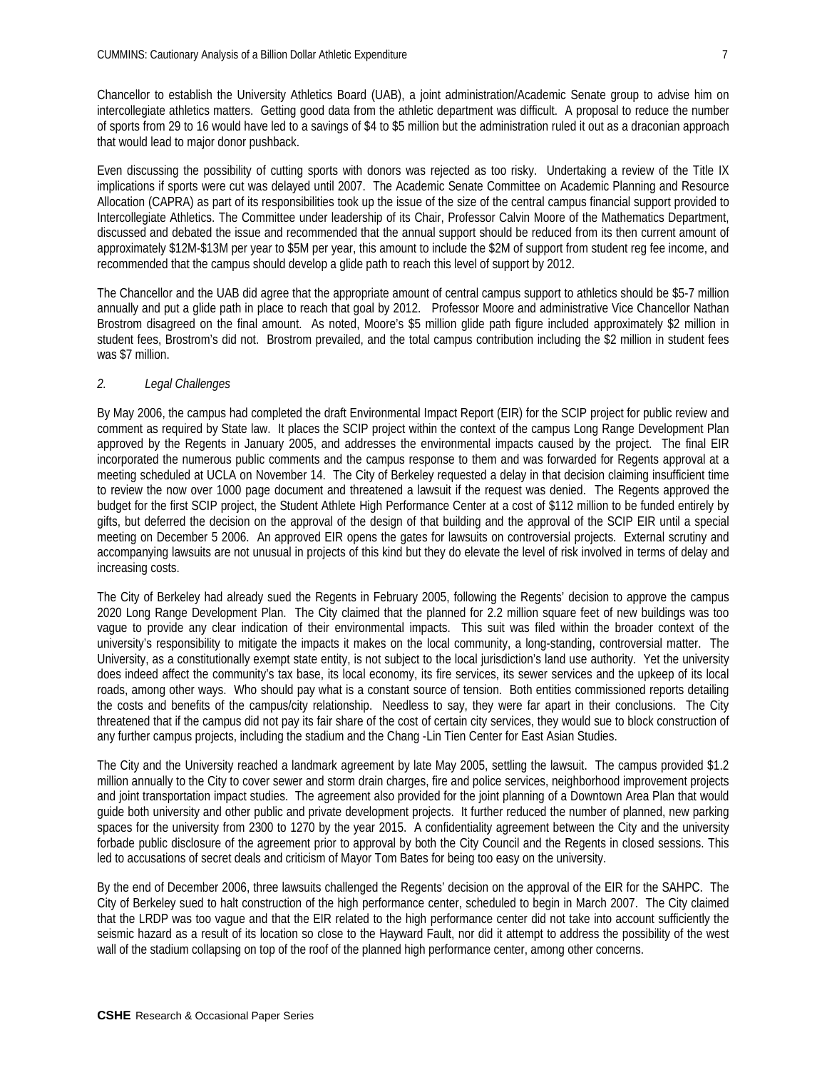Chancellor to establish the University Athletics Board (UAB), a joint administration/Academic Senate group to advise him on intercollegiate athletics matters. Getting good data from the athletic department was difficult. A proposal to reduce the number of sports from 29 to 16 would have led to a savings of \$4 to \$5 million but the administration ruled it out as a draconian approach that would lead to major donor pushback.

Even discussing the possibility of cutting sports with donors was rejected as too risky. Undertaking a review of the Title IX implications if sports were cut was delayed until 2007. The Academic Senate Committee on Academic Planning and Resource Allocation (CAPRA) as part of its responsibilities took up the issue of the size of the central campus financial support provided to Intercollegiate Athletics. The Committee under leadership of its Chair, Professor Calvin Moore of the Mathematics Department, discussed and debated the issue and recommended that the annual support should be reduced from its then current amount of approximately \$12M-\$13M per year to \$5M per year, this amount to include the \$2M of support from student reg fee income, and recommended that the campus should develop a glide path to reach this level of support by 2012.

The Chancellor and the UAB did agree that the appropriate amount of central campus support to athletics should be \$5-7 million annually and put a glide path in place to reach that goal by 2012. Professor Moore and administrative Vice Chancellor Nathan Brostrom disagreed on the final amount. As noted, Moore's \$5 million glide path figure included approximately \$2 million in student fees, Brostrom's did not. Brostrom prevailed, and the total campus contribution including the \$2 million in student fees was \$7 million.

#### *2. Legal Challenges*

By May 2006, the campus had completed the draft Environmental Impact Report (EIR) for the SCIP project for public review and comment as required by State law. It places the SCIP project within the context of the campus Long Range Development Plan approved by the Regents in January 2005, and addresses the environmental impacts caused by the project. The final EIR incorporated the numerous public comments and the campus response to them and was forwarded for Regents approval at a meeting scheduled at UCLA on November 14. The City of Berkeley requested a delay in that decision claiming insufficient time to review the now over 1000 page document and threatened a lawsuit if the request was denied. The Regents approved the budget for the first SCIP project, the Student Athlete High Performance Center at a cost of \$112 million to be funded entirely by gifts, but deferred the decision on the approval of the design of that building and the approval of the SCIP EIR until a special meeting on December 5 2006. An approved EIR opens the gates for lawsuits on controversial projects. External scrutiny and accompanying lawsuits are not unusual in projects of this kind but they do elevate the level of risk involved in terms of delay and increasing costs.

The City of Berkeley had already sued the Regents in February 2005, following the Regents' decision to approve the campus 2020 Long Range Development Plan. The City claimed that the planned for 2.2 million square feet of new buildings was too vague to provide any clear indication of their environmental impacts. This suit was filed within the broader context of the university's responsibility to mitigate the impacts it makes on the local community, a long-standing, controversial matter. The University, as a constitutionally exempt state entity, is not subject to the local jurisdiction's land use authority. Yet the university does indeed affect the community's tax base, its local economy, its fire services, its sewer services and the upkeep of its local roads, among other ways. Who should pay what is a constant source of tension. Both entities commissioned reports detailing the costs and benefits of the campus/city relationship. Needless to say, they were far apart in their conclusions. The City threatened that if the campus did not pay its fair share of the cost of certain city services, they would sue to block construction of any further campus projects, including the stadium and the Chang -Lin Tien Center for East Asian Studies.

The City and the University reached a landmark agreement by late May 2005, settling the lawsuit. The campus provided \$1.2 million annually to the City to cover sewer and storm drain charges, fire and police services, neighborhood improvement projects and joint transportation impact studies. The agreement also provided for the joint planning of a Downtown Area Plan that would guide both university and other public and private development projects. It further reduced the number of planned, new parking spaces for the university from 2300 to 1270 by the year 2015. A confidentiality agreement between the City and the university forbade public disclosure of the agreement prior to approval by both the City Council and the Regents in closed sessions. This led to accusations of secret deals and criticism of Mayor Tom Bates for being too easy on the university.

By the end of December 2006, three lawsuits challenged the Regents' decision on the approval of the EIR for the SAHPC. The City of Berkeley sued to halt construction of the high performance center, scheduled to begin in March 2007. The City claimed that the LRDP was too vague and that the EIR related to the high performance center did not take into account sufficiently the seismic hazard as a result of its location so close to the Hayward Fault, nor did it attempt to address the possibility of the west wall of the stadium collapsing on top of the roof of the planned high performance center, among other concerns.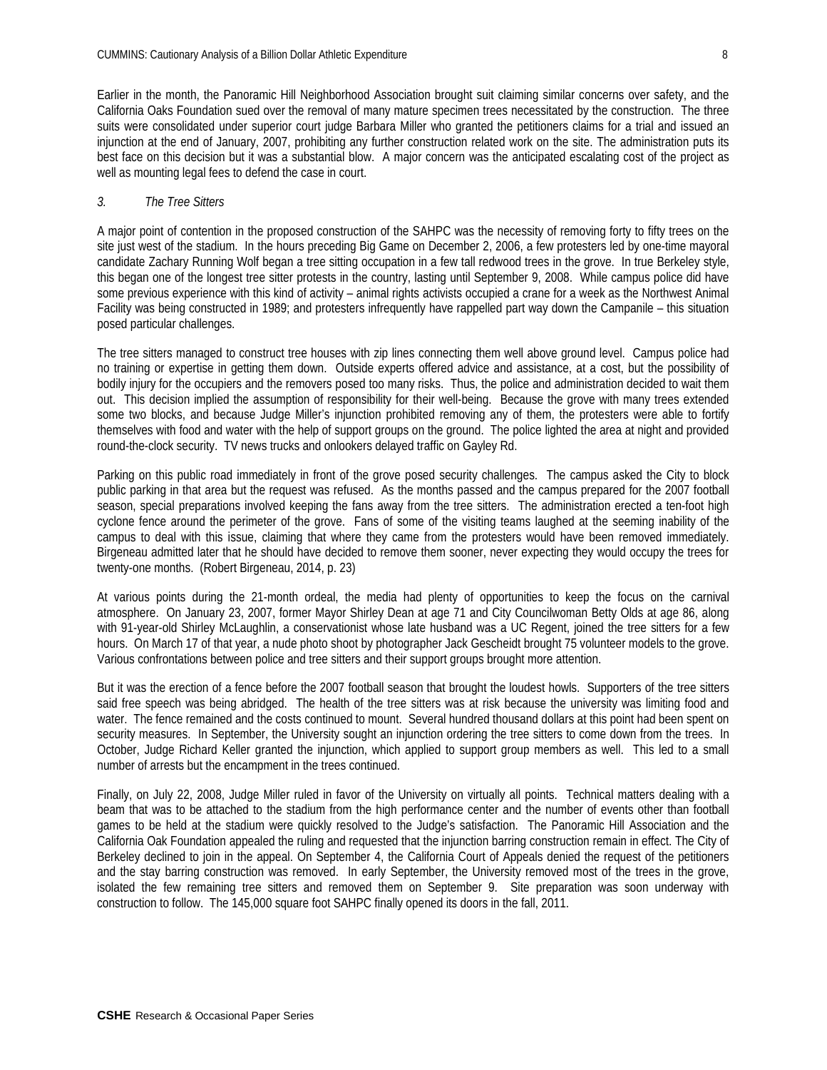Earlier in the month, the Panoramic Hill Neighborhood Association brought suit claiming similar concerns over safety, and the California Oaks Foundation sued over the removal of many mature specimen trees necessitated by the construction. The three suits were consolidated under superior court judge Barbara Miller who granted the petitioners claims for a trial and issued an injunction at the end of January, 2007, prohibiting any further construction related work on the site. The administration puts its best face on this decision but it was a substantial blow. A major concern was the anticipated escalating cost of the project as well as mounting legal fees to defend the case in court.

## *3. The Tree Sitters*

A major point of contention in the proposed construction of the SAHPC was the necessity of removing forty to fifty trees on the site just west of the stadium. In the hours preceding Big Game on December 2, 2006, a few protesters led by one-time mayoral candidate Zachary Running Wolf began a tree sitting occupation in a few tall redwood trees in the grove. In true Berkeley style, this began one of the longest tree sitter protests in the country, lasting until September 9, 2008. While campus police did have some previous experience with this kind of activity – animal rights activists occupied a crane for a week as the Northwest Animal Facility was being constructed in 1989; and protesters infrequently have rappelled part way down the Campanile – this situation posed particular challenges.

The tree sitters managed to construct tree houses with zip lines connecting them well above ground level. Campus police had no training or expertise in getting them down. Outside experts offered advice and assistance, at a cost, but the possibility of bodily injury for the occupiers and the removers posed too many risks. Thus, the police and administration decided to wait them out. This decision implied the assumption of responsibility for their well-being. Because the grove with many trees extended some two blocks, and because Judge Miller's injunction prohibited removing any of them, the protesters were able to fortify themselves with food and water with the help of support groups on the ground. The police lighted the area at night and provided round-the-clock security. TV news trucks and onlookers delayed traffic on Gayley Rd.

Parking on this public road immediately in front of the grove posed security challenges. The campus asked the City to block public parking in that area but the request was refused. As the months passed and the campus prepared for the 2007 football season, special preparations involved keeping the fans away from the tree sitters. The administration erected a ten-foot high cyclone fence around the perimeter of the grove. Fans of some of the visiting teams laughed at the seeming inability of the campus to deal with this issue, claiming that where they came from the protesters would have been removed immediately. Birgeneau admitted later that he should have decided to remove them sooner, never expecting they would occupy the trees for twenty-one months. (Robert Birgeneau, 2014, p. 23)

At various points during the 21-month ordeal, the media had plenty of opportunities to keep the focus on the carnival atmosphere. On January 23, 2007, former Mayor Shirley Dean at age 71 and City Councilwoman Betty Olds at age 86, along with 91-year-old Shirley McLaughlin, a conservationist whose late husband was a UC Regent, joined the tree sitters for a few hours. On March 17 of that year, a nude photo shoot by photographer Jack Gescheidt brought 75 volunteer models to the grove. Various confrontations between police and tree sitters and their support groups brought more attention.

But it was the erection of a fence before the 2007 football season that brought the loudest howls. Supporters of the tree sitters said free speech was being abridged. The health of the tree sitters was at risk because the university was limiting food and water. The fence remained and the costs continued to mount. Several hundred thousand dollars at this point had been spent on security measures. In September, the University sought an injunction ordering the tree sitters to come down from the trees. In October, Judge Richard Keller granted the injunction, which applied to support group members as well. This led to a small number of arrests but the encampment in the trees continued.

Finally, on July 22, 2008, Judge Miller ruled in favor of the University on virtually all points. Technical matters dealing with a beam that was to be attached to the stadium from the high performance center and the number of events other than football games to be held at the stadium were quickly resolved to the Judge's satisfaction. The Panoramic Hill Association and the California Oak Foundation appealed the ruling and requested that the injunction barring construction remain in effect. The City of Berkeley declined to join in the appeal. On September 4, the California Court of Appeals denied the request of the petitioners and the stay barring construction was removed. In early September, the University removed most of the trees in the grove, isolated the few remaining tree sitters and removed them on September 9. Site preparation was soon underway with construction to follow. The 145,000 square foot SAHPC finally opened its doors in the fall, 2011.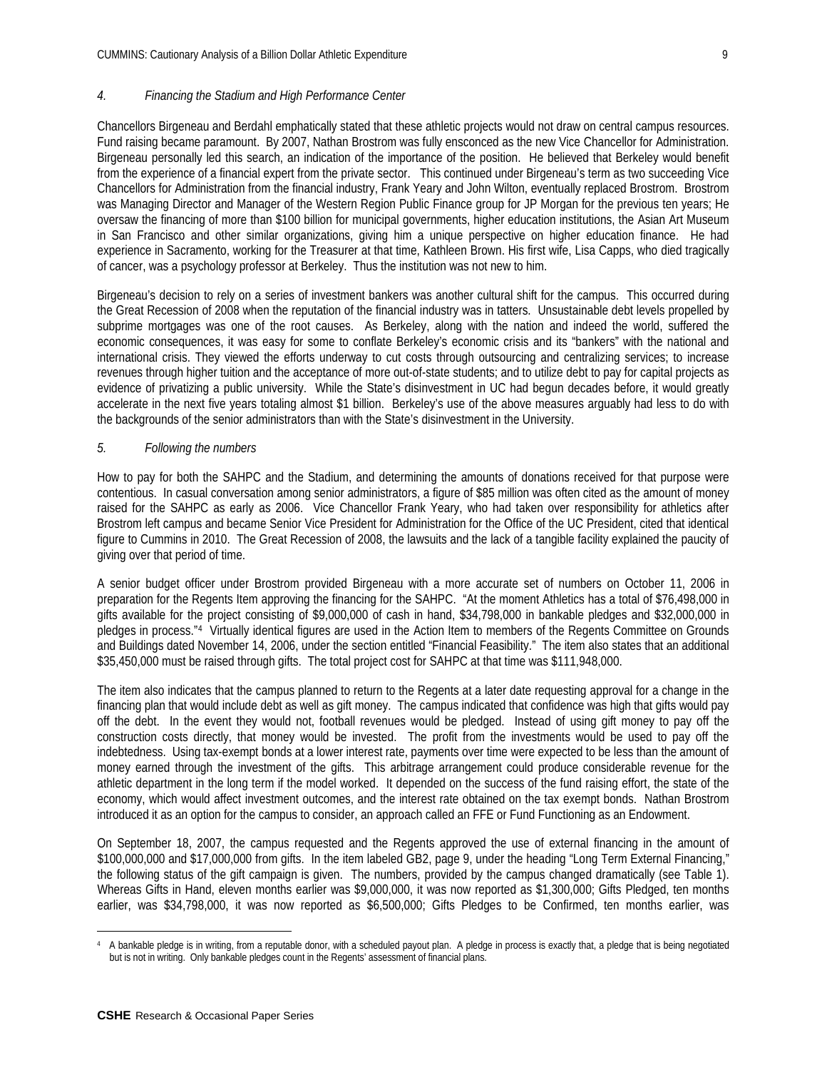# *4. Financing the Stadium and High Performance Center*

Chancellors Birgeneau and Berdahl emphatically stated that these athletic projects would not draw on central campus resources. Fund raising became paramount. By 2007, Nathan Brostrom was fully ensconced as the new Vice Chancellor for Administration. Birgeneau personally led this search, an indication of the importance of the position. He believed that Berkeley would benefit from the experience of a financial expert from the private sector. This continued under Birgeneau's term as two succeeding Vice Chancellors for Administration from the financial industry, Frank Yeary and John Wilton, eventually replaced Brostrom. Brostrom was Managing Director and Manager of the Western Region Public Finance group for JP Morgan for the previous ten years; He oversaw the financing of more than \$100 billion for municipal governments, higher education institutions, the Asian Art Museum in San Francisco and other similar organizations, giving him a unique perspective on higher education finance. He had experience in Sacramento, working for the Treasurer at that time, Kathleen Brown. His first wife, Lisa Capps, who died tragically of cancer, was a psychology professor at Berkeley. Thus the institution was not new to him.

Birgeneau's decision to rely on a series of investment bankers was another cultural shift for the campus. This occurred during the Great Recession of 2008 when the reputation of the financial industry was in tatters. Unsustainable debt levels propelled by subprime mortgages was one of the root causes. As Berkeley, along with the nation and indeed the world, suffered the economic consequences, it was easy for some to conflate Berkeley's economic crisis and its "bankers" with the national and international crisis. They viewed the efforts underway to cut costs through outsourcing and centralizing services; to increase revenues through higher tuition and the acceptance of more out-of-state students; and to utilize debt to pay for capital projects as evidence of privatizing a public university. While the State's disinvestment in UC had begun decades before, it would greatly accelerate in the next five years totaling almost \$1 billion. Berkeley's use of the above measures arguably had less to do with the backgrounds of the senior administrators than with the State's disinvestment in the University.

## *5. Following the numbers*

How to pay for both the SAHPC and the Stadium, and determining the amounts of donations received for that purpose were contentious. In casual conversation among senior administrators, a figure of \$85 million was often cited as the amount of money raised for the SAHPC as early as 2006. Vice Chancellor Frank Yeary, who had taken over responsibility for athletics after Brostrom left campus and became Senior Vice President for Administration for the Office of the UC President, cited that identical figure to Cummins in 2010. The Great Recession of 2008, the lawsuits and the lack of a tangible facility explained the paucity of giving over that period of time.

A senior budget officer under Brostrom provided Birgeneau with a more accurate set of numbers on October 11, 2006 in preparation for the Regents Item approving the financing for the SAHPC. "At the moment Athletics has a total of \$76,498,000 in gifts available for the project consisting of \$9,000,000 of cash in hand, \$34,798,000 in bankable pledges and \$32,000,000 in pledges in process."[4](#page-8-0) Virtually identical figures are used in the Action Item to members of the Regents Committee on Grounds and Buildings dated November 14, 2006, under the section entitled "Financial Feasibility." The item also states that an additional \$35,450,000 must be raised through gifts. The total project cost for SAHPC at that time was \$111,948,000.

The item also indicates that the campus planned to return to the Regents at a later date requesting approval for a change in the financing plan that would include debt as well as gift money. The campus indicated that confidence was high that gifts would pay off the debt. In the event they would not, football revenues would be pledged. Instead of using gift money to pay off the construction costs directly, that money would be invested. The profit from the investments would be used to pay off the indebtedness. Using tax-exempt bonds at a lower interest rate, payments over time were expected to be less than the amount of money earned through the investment of the gifts. This arbitrage arrangement could produce considerable revenue for the athletic department in the long term if the model worked. It depended on the success of the fund raising effort, the state of the economy, which would affect investment outcomes, and the interest rate obtained on the tax exempt bonds. Nathan Brostrom introduced it as an option for the campus to consider, an approach called an FFE or Fund Functioning as an Endowment.

On September 18, 2007, the campus requested and the Regents approved the use of external financing in the amount of \$100,000,000 and \$17,000,000 from gifts. In the item labeled GB2, page 9, under the heading "Long Term External Financing," the following status of the gift campaign is given. The numbers, provided by the campus changed dramatically (see Table 1). Whereas Gifts in Hand, eleven months earlier was \$9,000,000, it was now reported as \$1,300,000; Gifts Pledged, ten months earlier, was \$34,798,000, it was now reported as \$6,500,000; Gifts Pledges to be Confirmed, ten months earlier, was

<span id="page-8-0"></span> $\overline{a}$ <sup>4</sup> A bankable pledge is in writing, from a reputable donor, with a scheduled payout plan. A pledge in process is exactly that, a pledge that is being negotiated but is not in writing. Only bankable pledges count in the Regents' assessment of financial plans.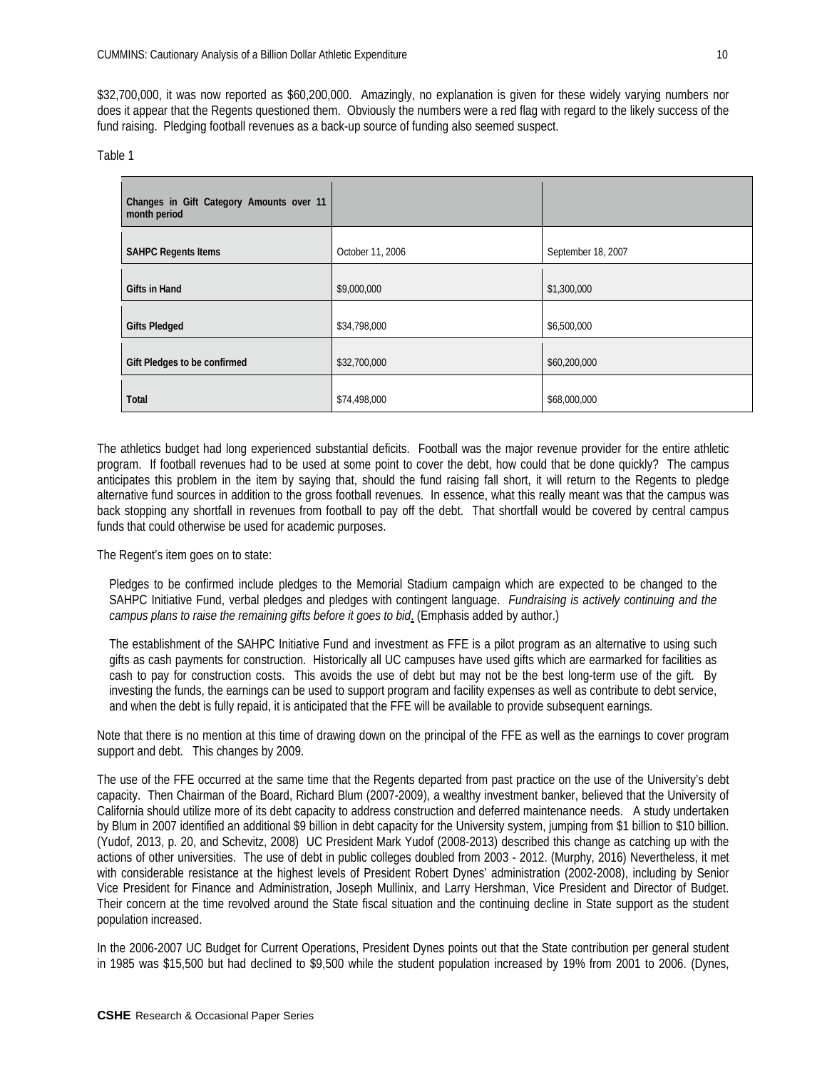\$32,700,000, it was now reported as \$60,200,000. Amazingly, no explanation is given for these widely varying numbers nor does it appear that the Regents questioned them. Obviously the numbers were a red flag with regard to the likely success of the fund raising. Pledging football revenues as a back-up source of funding also seemed suspect.

#### Table 1

| Changes in Gift Category Amounts over 11<br>month period |                  |                    |
|----------------------------------------------------------|------------------|--------------------|
| <b>SAHPC Regents Items</b>                               | October 11, 2006 | September 18, 2007 |
| Gifts in Hand                                            | \$9,000,000      | \$1,300,000        |
| <b>Gifts Pledged</b>                                     | \$34,798,000     | \$6,500,000        |
| Gift Pledges to be confirmed                             | \$32,700,000     | \$60,200,000       |
| Total                                                    | \$74,498,000     | \$68,000,000       |

The athletics budget had long experienced substantial deficits. Football was the major revenue provider for the entire athletic program. If football revenues had to be used at some point to cover the debt, how could that be done quickly? The campus anticipates this problem in the item by saying that, should the fund raising fall short, it will return to the Regents to pledge alternative fund sources in addition to the gross football revenues. In essence, what this really meant was that the campus was back stopping any shortfall in revenues from football to pay off the debt. That shortfall would be covered by central campus funds that could otherwise be used for academic purposes.

The Regent's item goes on to state:

Pledges to be confirmed include pledges to the Memorial Stadium campaign which are expected to be changed to the SAHPC Initiative Fund, verbal pledges and pledges with contingent language. *Fundraising is actively continuing and the campus plans to raise the remaining gifts before it goes to bid*. (Emphasis added by author.)

The establishment of the SAHPC Initiative Fund and investment as FFE is a pilot program as an alternative to using such gifts as cash payments for construction. Historically all UC campuses have used gifts which are earmarked for facilities as cash to pay for construction costs. This avoids the use of debt but may not be the best long-term use of the gift. By investing the funds, the earnings can be used to support program and facility expenses as well as contribute to debt service, and when the debt is fully repaid, it is anticipated that the FFE will be available to provide subsequent earnings.

Note that there is no mention at this time of drawing down on the principal of the FFE as well as the earnings to cover program support and debt. This changes by 2009.

The use of the FFE occurred at the same time that the Regents departed from past practice on the use of the University's debt capacity. Then Chairman of the Board, Richard Blum (2007-2009), a wealthy investment banker, believed that the University of California should utilize more of its debt capacity to address construction and deferred maintenance needs. A study undertaken by Blum in 2007 identified an additional \$9 billion in debt capacity for the University system, jumping from \$1 billion to \$10 billion. (Yudof, 2013, p. 20, and Schevitz, 2008) UC President Mark Yudof (2008-2013) described this change as catching up with the actions of other universities. The use of debt in public colleges doubled from 2003 - 2012. (Murphy, 2016) Nevertheless, it met with considerable resistance at the highest levels of President Robert Dynes' administration (2002-2008), including by Senior Vice President for Finance and Administration, Joseph Mullinix, and Larry Hershman, Vice President and Director of Budget. Their concern at the time revolved around the State fiscal situation and the continuing decline in State support as the student population increased.

In the 2006-2007 UC Budget for Current Operations, President Dynes points out that the State contribution per general student in 1985 was \$15,500 but had declined to \$9,500 while the student population increased by 19% from 2001 to 2006. (Dynes,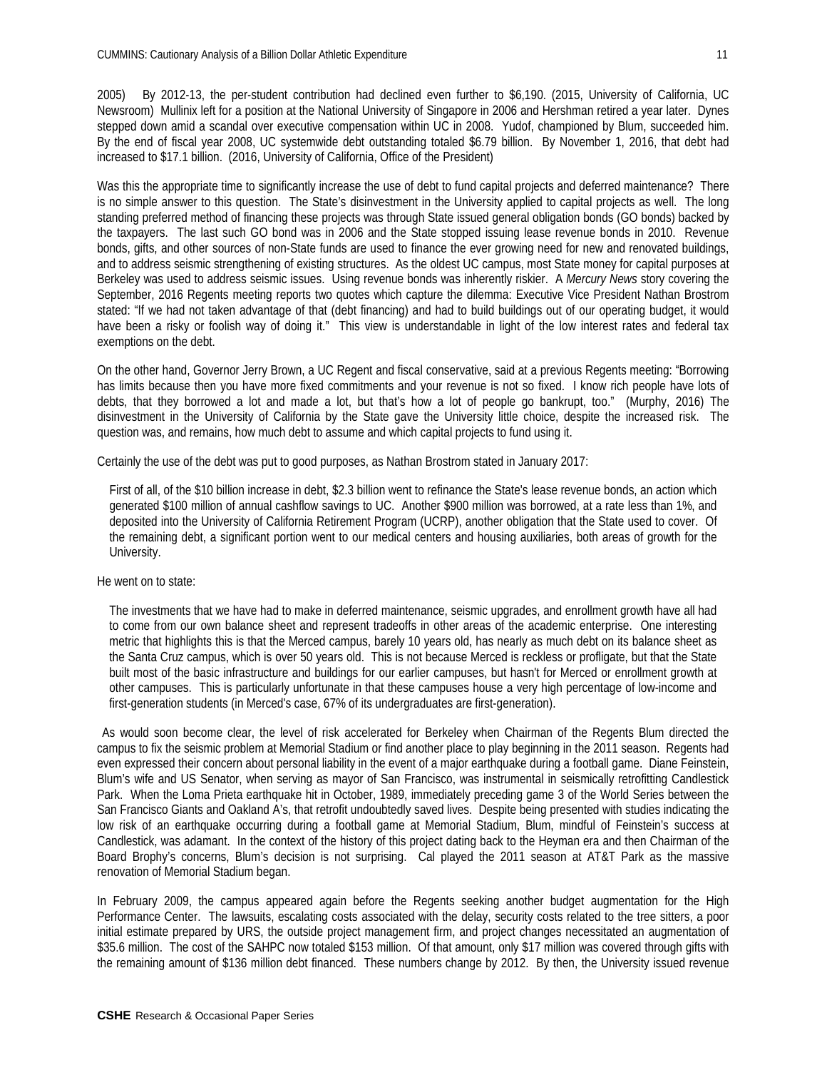2005) By 2012-13, the per-student contribution had declined even further to \$6,190. (2015, University of California, UC Newsroom) Mullinix left for a position at the National University of Singapore in 2006 and Hershman retired a year later. Dynes stepped down amid a scandal over executive compensation within UC in 2008. Yudof, championed by Blum, succeeded him. By the end of fiscal year 2008, UC systemwide debt outstanding totaled \$6.79 billion. By November 1, 2016, that debt had increased to \$17.1 billion. (2016, University of California, Office of the President)

Was this the appropriate time to significantly increase the use of debt to fund capital projects and deferred maintenance? There is no simple answer to this question. The State's disinvestment in the University applied to capital projects as well. The long standing preferred method of financing these projects was through State issued general obligation bonds (GO bonds) backed by the taxpayers. The last such GO bond was in 2006 and the State stopped issuing lease revenue bonds in 2010. Revenue bonds, gifts, and other sources of non-State funds are used to finance the ever growing need for new and renovated buildings, and to address seismic strengthening of existing structures. As the oldest UC campus, most State money for capital purposes at Berkeley was used to address seismic issues. Using revenue bonds was inherently riskier. A *Mercury News* story covering the September, 2016 Regents meeting reports two quotes which capture the dilemma: Executive Vice President Nathan Brostrom stated: "If we had not taken advantage of that (debt financing) and had to build buildings out of our operating budget, it would have been a risky or foolish way of doing it." This view is understandable in light of the low interest rates and federal tax exemptions on the debt.

On the other hand, Governor Jerry Brown, a UC Regent and fiscal conservative, said at a previous Regents meeting: "Borrowing has limits because then you have more fixed commitments and your revenue is not so fixed. I know rich people have lots of debts, that they borrowed a lot and made a lot, but that's how a lot of people go bankrupt, too." (Murphy, 2016) The disinvestment in the University of California by the State gave the University little choice, despite the increased risk. The question was, and remains, how much debt to assume and which capital projects to fund using it.

Certainly the use of the debt was put to good purposes, as Nathan Brostrom stated in January 2017:

First of all, of the \$10 billion increase in debt, \$2.3 billion went to refinance the State's lease revenue bonds, an action which generated \$100 million of annual cashflow savings to UC. Another \$900 million was borrowed, at a rate less than 1%, and deposited into the University of California Retirement Program (UCRP), another obligation that the State used to cover. Of the remaining debt, a significant portion went to our medical centers and housing auxiliaries, both areas of growth for the University.

#### He went on to state:

The investments that we have had to make in deferred maintenance, seismic upgrades, and enrollment growth have all had to come from our own balance sheet and represent tradeoffs in other areas of the academic enterprise. One interesting metric that highlights this is that the Merced campus, barely 10 years old, has nearly as much debt on its balance sheet as the Santa Cruz campus, which is over 50 years old. This is not because Merced is reckless or profligate, but that the State built most of the basic infrastructure and buildings for our earlier campuses, but hasn't for Merced or enrollment growth at other campuses. This is particularly unfortunate in that these campuses house a very high percentage of low-income and first-generation students (in Merced's case, 67% of its undergraduates are first-generation).

As would soon become clear, the level of risk accelerated for Berkeley when Chairman of the Regents Blum directed the campus to fix the seismic problem at Memorial Stadium or find another place to play beginning in the 2011 season. Regents had even expressed their concern about personal liability in the event of a major earthquake during a football game. Diane Feinstein, Blum's wife and US Senator, when serving as mayor of San Francisco, was instrumental in seismically retrofitting Candlestick Park. When the Loma Prieta earthquake hit in October, 1989, immediately preceding game 3 of the World Series between the San Francisco Giants and Oakland A's, that retrofit undoubtedly saved lives. Despite being presented with studies indicating the low risk of an earthquake occurring during a football game at Memorial Stadium, Blum, mindful of Feinstein's success at Candlestick, was adamant. In the context of the history of this project dating back to the Heyman era and then Chairman of the Board Brophy's concerns, Blum's decision is not surprising. Cal played the 2011 season at AT&T Park as the massive renovation of Memorial Stadium began.

In February 2009, the campus appeared again before the Regents seeking another budget augmentation for the High Performance Center. The lawsuits, escalating costs associated with the delay, security costs related to the tree sitters, a poor initial estimate prepared by URS, the outside project management firm, and project changes necessitated an augmentation of \$35.6 million. The cost of the SAHPC now totaled \$153 million. Of that amount, only \$17 million was covered through gifts with the remaining amount of \$136 million debt financed. These numbers change by 2012. By then, the University issued revenue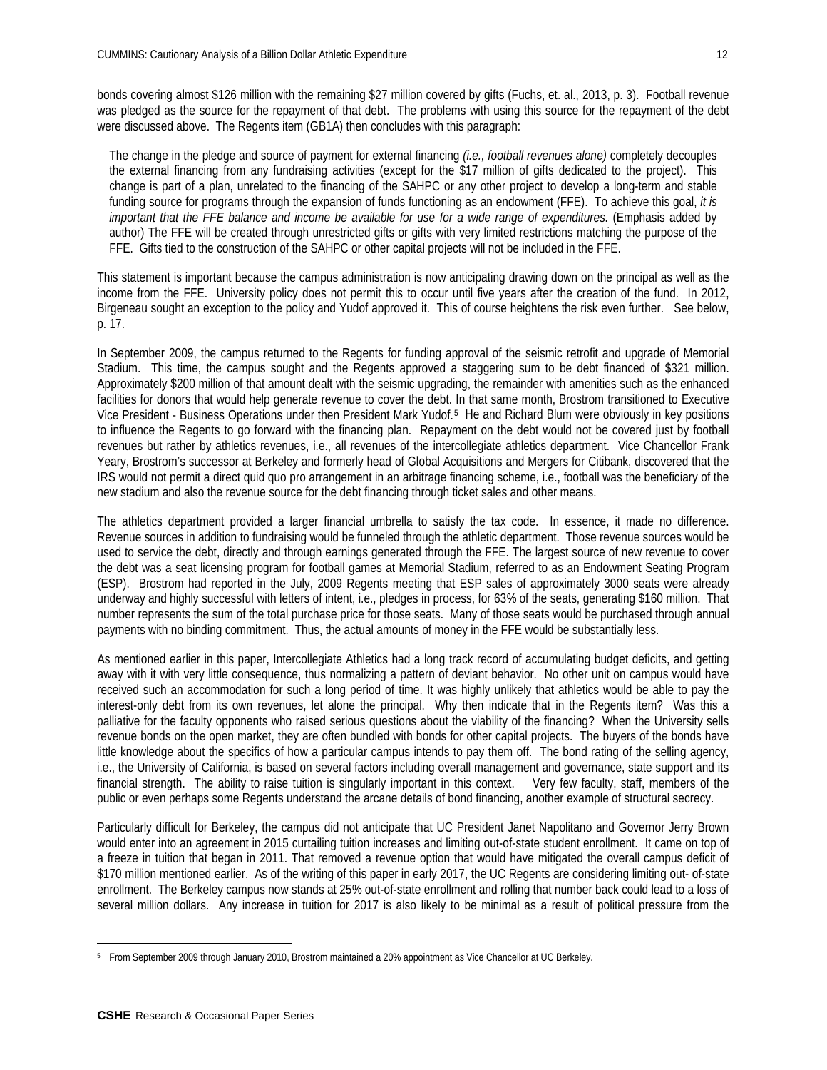bonds covering almost \$126 million with the remaining \$27 million covered by gifts (Fuchs, et. al., 2013, p. 3). Football revenue was pledged as the source for the repayment of that debt. The problems with using this source for the repayment of the debt were discussed above. The Regents item (GB1A) then concludes with this paragraph:

The change in the pledge and source of payment for external financing *(i.e., football revenues alone)* completely decouples the external financing from any fundraising activities (except for the \$17 million of gifts dedicated to the project). This change is part of a plan, unrelated to the financing of the SAHPC or any other project to develop a long-term and stable funding source for programs through the expansion of funds functioning as an endowment (FFE). To achieve this goal, *it is* important that the FFE balance and income be available for use for a wide range of expenditures. (Emphasis added by author) The FFE will be created through unrestricted gifts or gifts with very limited restrictions matching the purpose of the FFE. Gifts tied to the construction of the SAHPC or other capital projects will not be included in the FFE.

This statement is important because the campus administration is now anticipating drawing down on the principal as well as the income from the FFE. University policy does not permit this to occur until five years after the creation of the fund. In 2012, Birgeneau sought an exception to the policy and Yudof approved it. This of course heightens the risk even further. See below, p. 17.

In September 2009, the campus returned to the Regents for funding approval of the seismic retrofit and upgrade of Memorial Stadium. This time, the campus sought and the Regents approved a staggering sum to be debt financed of \$321 million. Approximately \$200 million of that amount dealt with the seismic upgrading, the remainder with amenities such as the enhanced facilities for donors that would help generate revenue to cover the debt. In that same month, Brostrom transitioned to Executive Vice President - Business Operations under then President Mark Yudof.[5](#page-11-0) He and Richard Blum were obviously in key positions to influence the Regents to go forward with the financing plan. Repayment on the debt would not be covered just by football revenues but rather by athletics revenues, i.e., all revenues of the intercollegiate athletics department. Vice Chancellor Frank Yeary, Brostrom's successor at Berkeley and formerly head of Global Acquisitions and Mergers for Citibank, discovered that the IRS would not permit a direct quid quo pro arrangement in an arbitrage financing scheme, i.e., football was the beneficiary of the new stadium and also the revenue source for the debt financing through ticket sales and other means.

The athletics department provided a larger financial umbrella to satisfy the tax code. In essence, it made no difference. Revenue sources in addition to fundraising would be funneled through the athletic department. Those revenue sources would be used to service the debt, directly and through earnings generated through the FFE. The largest source of new revenue to cover the debt was a seat licensing program for football games at Memorial Stadium, referred to as an Endowment Seating Program (ESP). Brostrom had reported in the July, 2009 Regents meeting that ESP sales of approximately 3000 seats were already underway and highly successful with letters of intent, i.e., pledges in process, for 63% of the seats, generating \$160 million. That number represents the sum of the total purchase price for those seats. Many of those seats would be purchased through annual payments with no binding commitment. Thus, the actual amounts of money in the FFE would be substantially less.

As mentioned earlier in this paper, Intercollegiate Athletics had a long track record of accumulating budget deficits, and getting away with it with very little consequence, thus normalizing a pattern of deviant behavior. No other unit on campus would have received such an accommodation for such a long period of time. It was highly unlikely that athletics would be able to pay the interest-only debt from its own revenues, let alone the principal. Why then indicate that in the Regents item? Was this a palliative for the faculty opponents who raised serious questions about the viability of the financing? When the University sells revenue bonds on the open market, they are often bundled with bonds for other capital projects. The buyers of the bonds have little knowledge about the specifics of how a particular campus intends to pay them off. The bond rating of the selling agency, i.e., the University of California, is based on several factors including overall management and governance, state support and its financial strength. The ability to raise tuition is singularly important in this context. Very few faculty, staff, members of the public or even perhaps some Regents understand the arcane details of bond financing, another example of structural secrecy.

Particularly difficult for Berkeley, the campus did not anticipate that UC President Janet Napolitano and Governor Jerry Brown would enter into an agreement in 2015 curtailing tuition increases and limiting out-of-state student enrollment. It came on top of a freeze in tuition that began in 2011. That removed a revenue option that would have mitigated the overall campus deficit of \$170 million mentioned earlier. As of the writing of this paper in early 2017, the UC Regents are considering limiting out- of-state enrollment. The Berkeley campus now stands at 25% out-of-state enrollment and rolling that number back could lead to a loss of several million dollars. Any increase in tuition for 2017 is also likely to be minimal as a result of political pressure from the

 $\overline{a}$ 

<span id="page-11-0"></span><sup>5</sup> From September 2009 through January 2010, Brostrom maintained a 20% appointment as Vice Chancellor at UC Berkeley.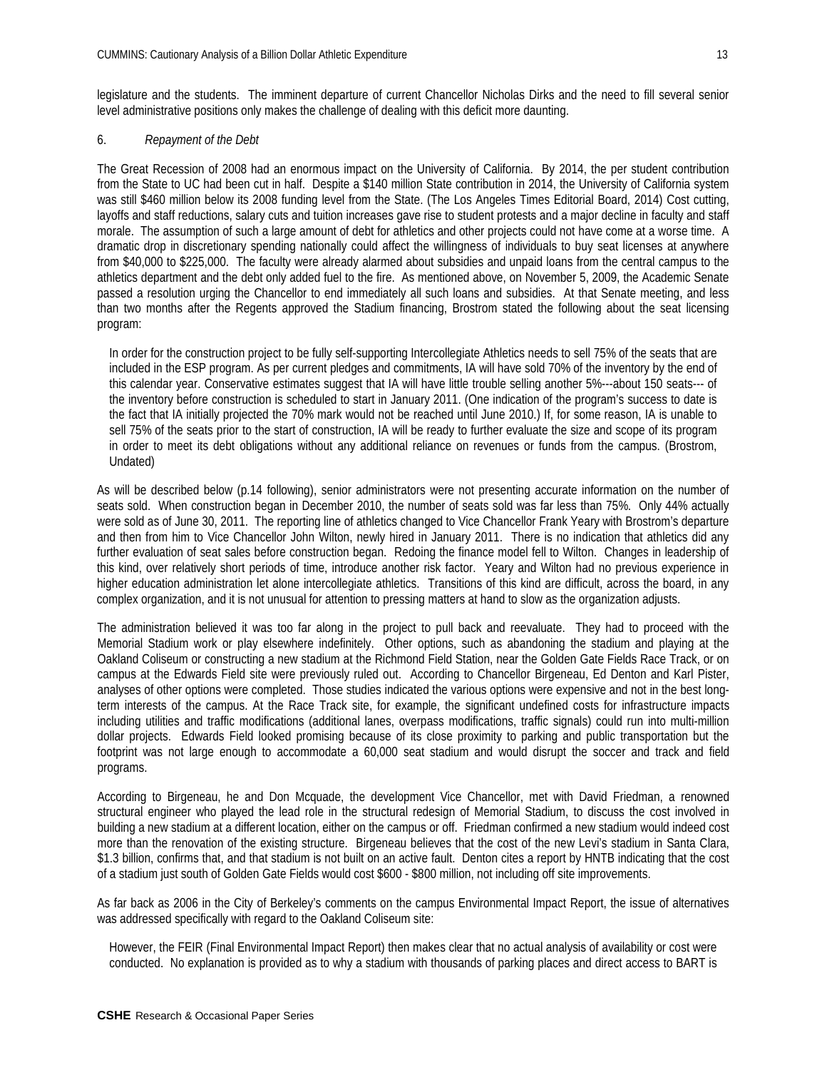legislature and the students. The imminent departure of current Chancellor Nicholas Dirks and the need to fill several senior level administrative positions only makes the challenge of dealing with this deficit more daunting.

## 6. *Repayment of the Debt*

The Great Recession of 2008 had an enormous impact on the University of California. By 2014, the per student contribution from the State to UC had been cut in half. Despite a \$140 million State contribution in 2014, the University of California system was still \$460 million below its 2008 funding level from the State. (The Los Angeles Times Editorial Board, 2014) Cost cutting, layoffs and staff reductions, salary cuts and tuition increases gave rise to student protests and a major decline in faculty and staff morale. The assumption of such a large amount of debt for athletics and other projects could not have come at a worse time. A dramatic drop in discretionary spending nationally could affect the willingness of individuals to buy seat licenses at anywhere from \$40,000 to \$225,000. The faculty were already alarmed about subsidies and unpaid loans from the central campus to the athletics department and the debt only added fuel to the fire. As mentioned above, on November 5, 2009, the Academic Senate passed a resolution urging the Chancellor to end immediately all such loans and subsidies. At that Senate meeting, and less than two months after the Regents approved the Stadium financing, Brostrom stated the following about the seat licensing program:

In order for the construction project to be fully self-supporting Intercollegiate Athletics needs to sell 75% of the seats that are included in the ESP program. As per current pledges and commitments, IA will have sold 70% of the inventory by the end of this calendar year. Conservative estimates suggest that IA will have little trouble selling another 5%---about 150 seats--- of the inventory before construction is scheduled to start in January 2011. (One indication of the program's success to date is the fact that IA initially projected the 70% mark would not be reached until June 2010.) If, for some reason, IA is unable to sell 75% of the seats prior to the start of construction, IA will be ready to further evaluate the size and scope of its program in order to meet its debt obligations without any additional reliance on revenues or funds from the campus. (Brostrom, Undated)

As will be described below (p.14 following), senior administrators were not presenting accurate information on the number of seats sold. When construction began in December 2010, the number of seats sold was far less than 75%. Only 44% actually were sold as of June 30, 2011. The reporting line of athletics changed to Vice Chancellor Frank Yeary with Brostrom's departure and then from him to Vice Chancellor John Wilton, newly hired in January 2011. There is no indication that athletics did any further evaluation of seat sales before construction began. Redoing the finance model fell to Wilton. Changes in leadership of this kind, over relatively short periods of time, introduce another risk factor. Yeary and Wilton had no previous experience in higher education administration let alone intercollegiate athletics. Transitions of this kind are difficult, across the board, in any complex organization, and it is not unusual for attention to pressing matters at hand to slow as the organization adjusts.

The administration believed it was too far along in the project to pull back and reevaluate. They had to proceed with the Memorial Stadium work or play elsewhere indefinitely. Other options, such as abandoning the stadium and playing at the Oakland Coliseum or constructing a new stadium at the Richmond Field Station, near the Golden Gate Fields Race Track, or on campus at the Edwards Field site were previously ruled out. According to Chancellor Birgeneau, Ed Denton and Karl Pister, analyses of other options were completed. Those studies indicated the various options were expensive and not in the best longterm interests of the campus. At the Race Track site, for example, the significant undefined costs for infrastructure impacts including utilities and traffic modifications (additional lanes, overpass modifications, traffic signals) could run into multi-million dollar projects. Edwards Field looked promising because of its close proximity to parking and public transportation but the footprint was not large enough to accommodate a 60,000 seat stadium and would disrupt the soccer and track and field programs.

According to Birgeneau, he and Don Mcquade, the development Vice Chancellor, met with David Friedman, a renowned structural engineer who played the lead role in the structural redesign of Memorial Stadium, to discuss the cost involved in building a new stadium at a different location, either on the campus or off. Friedman confirmed a new stadium would indeed cost more than the renovation of the existing structure. Birgeneau believes that the cost of the new Levi's stadium in Santa Clara, \$1.3 billion, confirms that, and that stadium is not built on an active fault. Denton cites a report by HNTB indicating that the cost of a stadium just south of Golden Gate Fields would cost \$600 - \$800 million, not including off site improvements.

As far back as 2006 in the City of Berkeley's comments on the campus Environmental Impact Report, the issue of alternatives was addressed specifically with regard to the Oakland Coliseum site:

However, the FEIR (Final Environmental Impact Report) then makes clear that no actual analysis of availability or cost were conducted. No explanation is provided as to why a stadium with thousands of parking places and direct access to BART is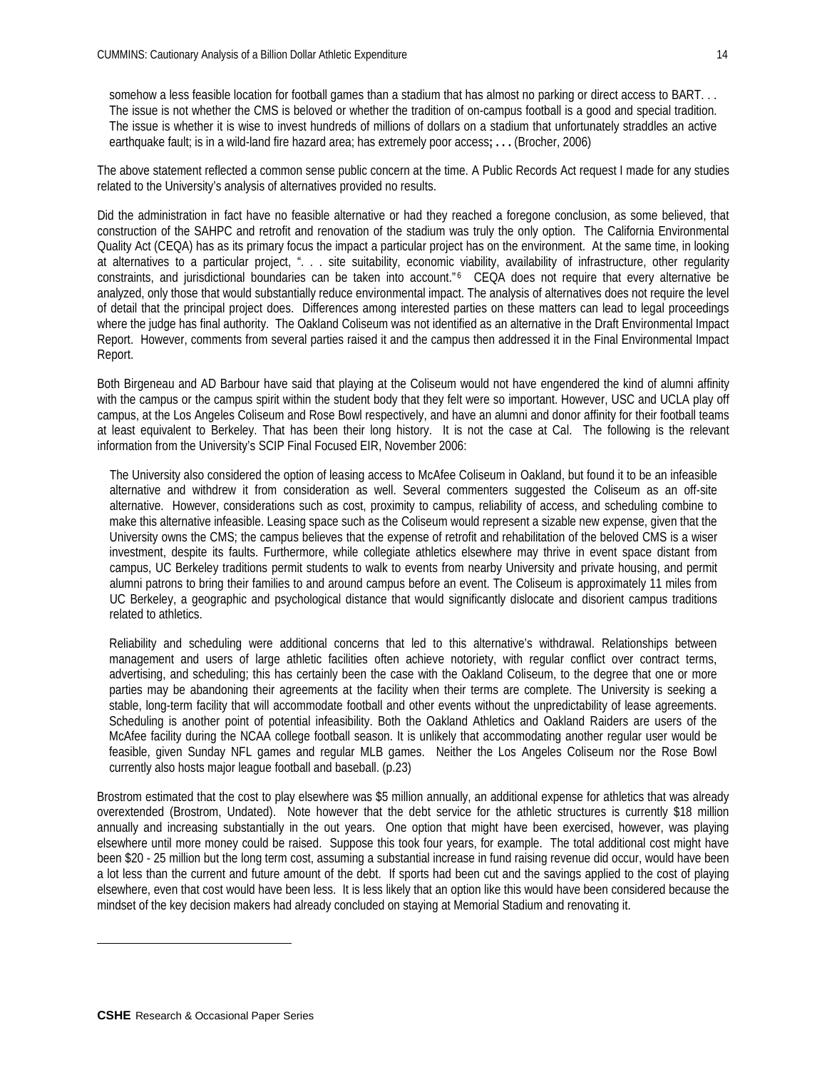somehow a less feasible location for football games than a stadium that has almost no parking or direct access to BART. . . The issue is not whether the CMS is beloved or whether the tradition of on-campus football is a good and special tradition. The issue is whether it is wise to invest hundreds of millions of dollars on a stadium that unfortunately straddles an active earthquake fault; is in a wild-land fire hazard area; has extremely poor access**; . . .** (Brocher, 2006)

The above statement reflected a common sense public concern at the time. A Public Records Act request I made for any studies related to the University's analysis of alternatives provided no results.

Did the administration in fact have no feasible alternative or had they reached a foregone conclusion, as some believed, that construction of the SAHPC and retrofit and renovation of the stadium was truly the only option. The California Environmental Quality Act (CEQA) has as its primary focus the impact a particular project has on the environment. At the same time, in looking at alternatives to a particular project, ". . . site suitability, economic viability, availability of infrastructure, other regularity constraints, and jurisdictional boundaries can be taken into account."<sup>[6](#page-13-0)</sup> CEQA does not require that every alternative be analyzed, only those that would substantially reduce environmental impact. The analysis of alternatives does not require the level of detail that the principal project does. Differences among interested parties on these matters can lead to legal proceedings where the judge has final authority. The Oakland Coliseum was not identified as an alternative in the Draft Environmental Impact Report. However, comments from several parties raised it and the campus then addressed it in the Final Environmental Impact Report.

Both Birgeneau and AD Barbour have said that playing at the Coliseum would not have engendered the kind of alumni affinity with the campus or the campus spirit within the student body that they felt were so important. However, USC and UCLA play off campus, at the Los Angeles Coliseum and Rose Bowl respectively, and have an alumni and donor affinity for their football teams at least equivalent to Berkeley. That has been their long history. It is not the case at Cal. The following is the relevant information from the University's SCIP Final Focused EIR, November 2006:

The University also considered the option of leasing access to McAfee Coliseum in Oakland, but found it to be an infeasible alternative and withdrew it from consideration as well. Several commenters suggested the Coliseum as an off-site alternative. However, considerations such as cost, proximity to campus, reliability of access, and scheduling combine to make this alternative infeasible. Leasing space such as the Coliseum would represent a sizable new expense, given that the University owns the CMS; the campus believes that the expense of retrofit and rehabilitation of the beloved CMS is a wiser investment, despite its faults. Furthermore, while collegiate athletics elsewhere may thrive in event space distant from campus, UC Berkeley traditions permit students to walk to events from nearby University and private housing, and permit alumni patrons to bring their families to and around campus before an event. The Coliseum is approximately 11 miles from UC Berkeley, a geographic and psychological distance that would significantly dislocate and disorient campus traditions related to athletics.

Reliability and scheduling were additional concerns that led to this alternative's withdrawal. Relationships between management and users of large athletic facilities often achieve notoriety, with regular conflict over contract terms, advertising, and scheduling; this has certainly been the case with the Oakland Coliseum, to the degree that one or more parties may be abandoning their agreements at the facility when their terms are complete. The University is seeking a stable, long-term facility that will accommodate football and other events without the unpredictability of lease agreements. Scheduling is another point of potential infeasibility. Both the Oakland Athletics and Oakland Raiders are users of the McAfee facility during the NCAA college football season. It is unlikely that accommodating another regular user would be feasible, given Sunday NFL games and regular MLB games. Neither the Los Angeles Coliseum nor the Rose Bowl currently also hosts major league football and baseball. (p.23)

Brostrom estimated that the cost to play elsewhere was \$5 million annually, an additional expense for athletics that was already overextended (Brostrom, Undated). Note however that the debt service for the athletic structures is currently \$18 million annually and increasing substantially in the out years. One option that might have been exercised, however, was playing elsewhere until more money could be raised. Suppose this took four years, for example. The total additional cost might have been \$20 - 25 million but the long term cost, assuming a substantial increase in fund raising revenue did occur, would have been a lot less than the current and future amount of the debt. If sports had been cut and the savings applied to the cost of playing elsewhere, even that cost would have been less. It is less likely that an option like this would have been considered because the mindset of the key decision makers had already concluded on staying at Memorial Stadium and renovating it.

<span id="page-13-0"></span> $\overline{a}$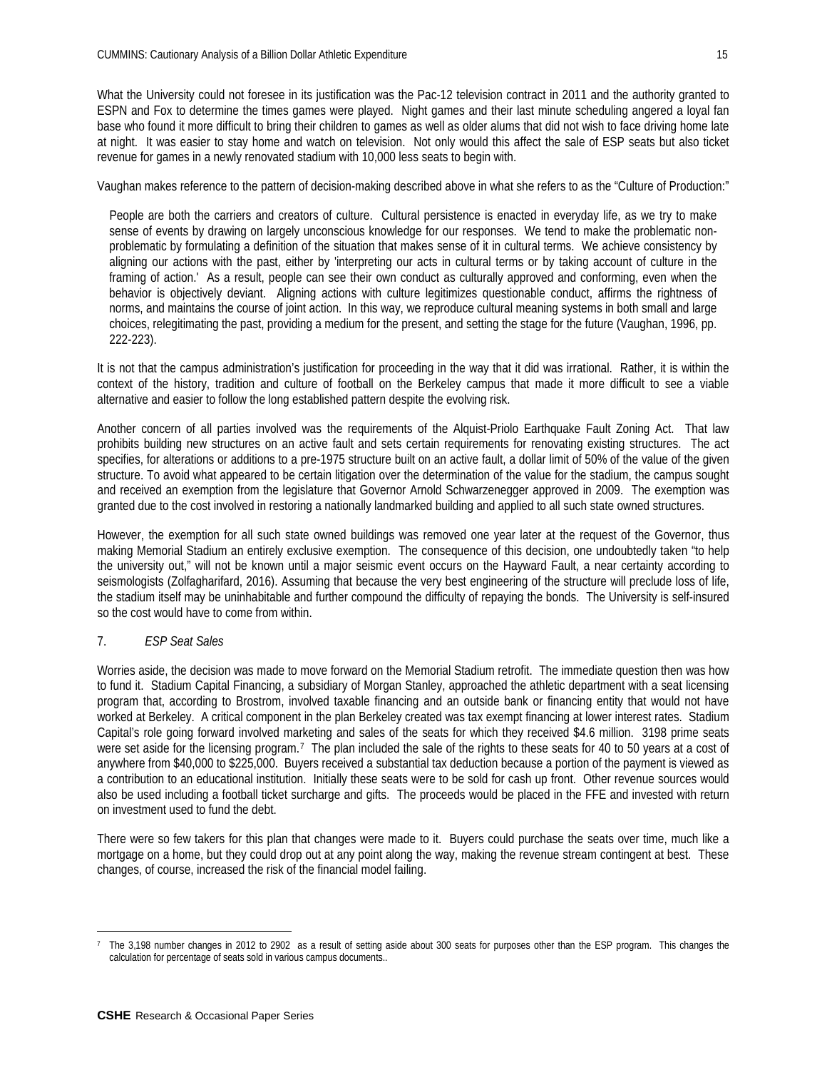What the University could not foresee in its justification was the Pac-12 television contract in 2011 and the authority granted to ESPN and Fox to determine the times games were played. Night games and their last minute scheduling angered a loyal fan base who found it more difficult to bring their children to games as well as older alums that did not wish to face driving home late at night. It was easier to stay home and watch on television. Not only would this affect the sale of ESP seats but also ticket revenue for games in a newly renovated stadium with 10,000 less seats to begin with.

Vaughan makes reference to the pattern of decision-making described above in what she refers to as the "Culture of Production:"

People are both the carriers and creators of culture. Cultural persistence is enacted in everyday life, as we try to make sense of events by drawing on largely unconscious knowledge for our responses. We tend to make the problematic nonproblematic by formulating a definition of the situation that makes sense of it in cultural terms. We achieve consistency by aligning our actions with the past, either by 'interpreting our acts in cultural terms or by taking account of culture in the framing of action.' As a result, people can see their own conduct as culturally approved and conforming, even when the behavior is objectively deviant. Aligning actions with culture legitimizes questionable conduct, affirms the rightness of norms, and maintains the course of joint action. In this way, we reproduce cultural meaning systems in both small and large choices, relegitimating the past, providing a medium for the present, and setting the stage for the future (Vaughan, 1996, pp. 222-223).

It is not that the campus administration's justification for proceeding in the way that it did was irrational. Rather, it is within the context of the history, tradition and culture of football on the Berkeley campus that made it more difficult to see a viable alternative and easier to follow the long established pattern despite the evolving risk.

Another concern of all parties involved was the requirements of the Alquist-Priolo Earthquake Fault Zoning Act. That law prohibits building new structures on an active fault and sets certain requirements for renovating existing structures. The act specifies, for alterations or additions to a pre-1975 structure built on an active fault, a dollar limit of 50% of the value of the given structure. To avoid what appeared to be certain litigation over the determination of the value for the stadium, the campus sought and received an exemption from the legislature that Governor Arnold Schwarzenegger approved in 2009. The exemption was granted due to the cost involved in restoring a nationally landmarked building and applied to all such state owned structures.

However, the exemption for all such state owned buildings was removed one year later at the request of the Governor, thus making Memorial Stadium an entirely exclusive exemption. The consequence of this decision, one undoubtedly taken "to help the university out," will not be known until a major seismic event occurs on the Hayward Fault, a near certainty according to seismologists (Zolfagharifard, 2016). Assuming that because the very best engineering of the structure will preclude loss of life, the stadium itself may be uninhabitable and further compound the difficulty of repaying the bonds. The University is self-insured so the cost would have to come from within.

# 7. *ESP Seat Sales*

Worries aside, the decision was made to move forward on the Memorial Stadium retrofit. The immediate question then was how to fund it. Stadium Capital Financing, a subsidiary of Morgan Stanley, approached the athletic department with a seat licensing program that, according to Brostrom, involved taxable financing and an outside bank or financing entity that would not have worked at Berkeley. A critical component in the plan Berkeley created was tax exempt financing at lower interest rates. Stadium Capital's role going forward involved marketing and sales of the seats for which they received \$4.6 million. 3198 prime seats were set aside for the licensing program.<sup>[7](#page-14-0)</sup> The plan included the sale of the rights to these seats for 40 to 50 years at a cost of anywhere from \$40,000 to \$225,000. Buyers received a substantial tax deduction because a portion of the payment is viewed as a contribution to an educational institution. Initially these seats were to be sold for cash up front. Other revenue sources would also be used including a football ticket surcharge and gifts. The proceeds would be placed in the FFE and invested with return on investment used to fund the debt.

There were so few takers for this plan that changes were made to it. Buyers could purchase the seats over time, much like a mortgage on a home, but they could drop out at any point along the way, making the revenue stream contingent at best. These changes, of course, increased the risk of the financial model failing.

<span id="page-14-0"></span> $\overline{a}$ 7 The 3,198 number changes in 2012 to 2902 as a result of setting aside about 300 seats for purposes other than the ESP program. This changes the calculation for percentage of seats sold in various campus documents..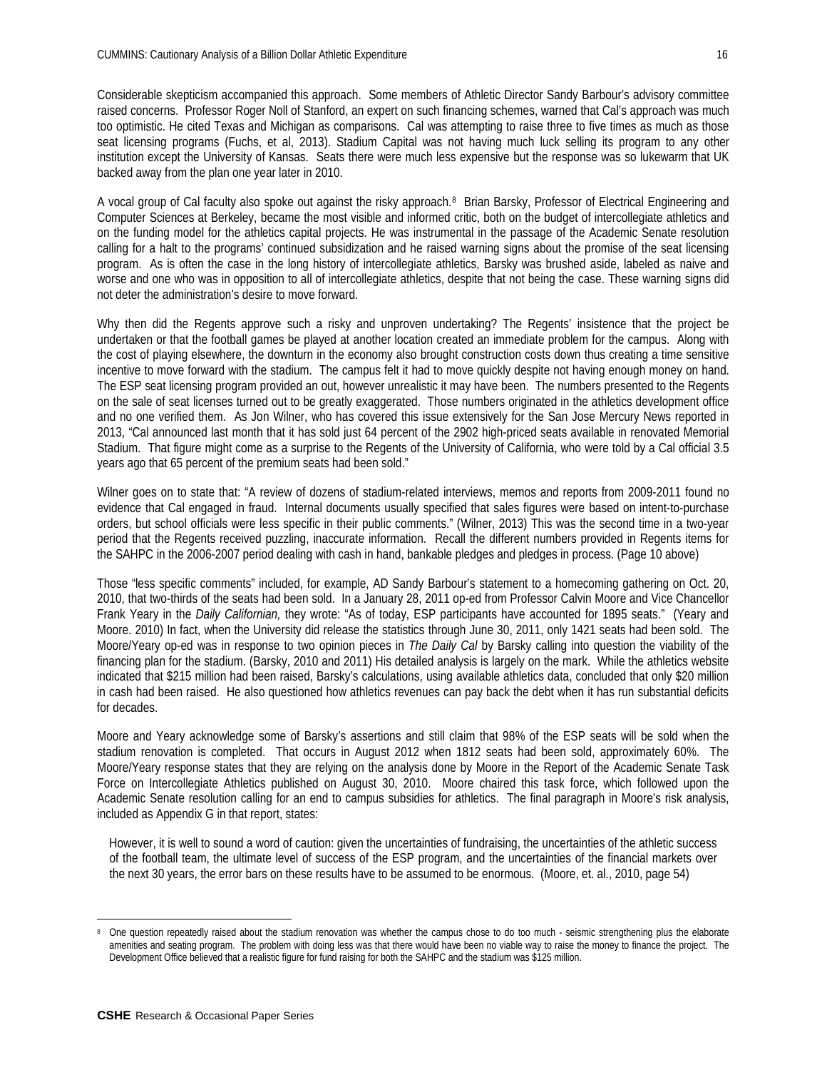Considerable skepticism accompanied this approach. Some members of Athletic Director Sandy Barbour's advisory committee raised concerns. Professor Roger Noll of Stanford, an expert on such financing schemes, warned that Cal's approach was much too optimistic. He cited Texas and Michigan as comparisons. Cal was attempting to raise three to five times as much as those seat licensing programs (Fuchs, et al, 2013). Stadium Capital was not having much luck selling its program to any other institution except the University of Kansas. Seats there were much less expensive but the response was so lukewarm that UK backed away from the plan one year later in 2010.

A vocal group of Cal faculty also spoke out against the risky approach.[8](#page-15-0) Brian Barsky, Professor of Electrical Engineering and Computer Sciences at Berkeley, became the most visible and informed critic, both on the budget of intercollegiate athletics and on the funding model for the athletics capital projects. He was instrumental in the passage of the Academic Senate resolution calling for a halt to the programs' continued subsidization and he raised warning signs about the promise of the seat licensing program. As is often the case in the long history of intercollegiate athletics, Barsky was brushed aside, labeled as naive and worse and one who was in opposition to all of intercollegiate athletics, despite that not being the case. These warning signs did not deter the administration's desire to move forward.

Why then did the Regents approve such a risky and unproven undertaking? The Regents' insistence that the project be undertaken or that the football games be played at another location created an immediate problem for the campus. Along with the cost of playing elsewhere, the downturn in the economy also brought construction costs down thus creating a time sensitive incentive to move forward with the stadium. The campus felt it had to move quickly despite not having enough money on hand. The ESP seat licensing program provided an out, however unrealistic it may have been. The numbers presented to the Regents on the sale of seat licenses turned out to be greatly exaggerated. Those numbers originated in the athletics development office and no one verified them. As Jon Wilner, who has covered this issue extensively for the San Jose Mercury News reported in 2013, "Cal announced last month that it has sold just 64 percent of the 2902 high-priced seats available in renovated Memorial Stadium. That figure might come as a surprise to the Regents of the University of California, who were told by a Cal official 3.5 years ago that 65 percent of the premium seats had been sold."

Wilner goes on to state that: "A review of dozens of stadium-related interviews, memos and reports from 2009-2011 found no evidence that Cal engaged in fraud. Internal documents usually specified that sales figures were based on intent-to-purchase orders, but school officials were less specific in their public comments." (Wilner, 2013) This was the second time in a two-year period that the Regents received puzzling, inaccurate information. Recall the different numbers provided in Regents items for the SAHPC in the 2006-2007 period dealing with cash in hand, bankable pledges and pledges in process. (Page 10 above)

Those "less specific comments" included, for example, AD Sandy Barbour's statement to a homecoming gathering on Oct. 20, 2010, that two-thirds of the seats had been sold. In a January 28, 2011 op-ed from Professor Calvin Moore and Vice Chancellor Frank Yeary in the *Daily Californian,* they wrote: "As of today, ESP participants have accounted for 1895 seats." (Yeary and Moore. 2010) In fact, when the University did release the statistics through June 30, 2011, only 1421 seats had been sold. The Moore/Yeary op-ed was in response to two opinion pieces in *The Daily Cal* by Barsky calling into question the viability of the financing plan for the stadium. (Barsky, 2010 and 2011) His detailed analysis is largely on the mark. While the athletics website indicated that \$215 million had been raised, Barsky's calculations, using available athletics data, concluded that only \$20 million in cash had been raised. He also questioned how athletics revenues can pay back the debt when it has run substantial deficits for decades.

Moore and Yeary acknowledge some of Barsky's assertions and still claim that 98% of the ESP seats will be sold when the stadium renovation is completed. That occurs in August 2012 when 1812 seats had been sold, approximately 60%. The Moore/Yeary response states that they are relying on the analysis done by Moore in the Report of the Academic Senate Task Force on Intercollegiate Athletics published on August 30, 2010. Moore chaired this task force, which followed upon the Academic Senate resolution calling for an end to campus subsidies for athletics. The final paragraph in Moore's risk analysis, included as Appendix G in that report, states:

However, it is well to sound a word of caution: given the uncertainties of fundraising, the uncertainties of the athletic success of the football team, the ultimate level of success of the ESP program, and the uncertainties of the financial markets over the next 30 years, the error bars on these results have to be assumed to be enormous. (Moore, et. al., 2010, page 54)

<span id="page-15-0"></span> $\overline{a}$ <sup>8</sup> One question repeatedly raised about the stadium renovation was whether the campus chose to do too much - seismic strengthening plus the elaborate amenities and seating program. The problem with doing less was that there would have been no viable way to raise the money to finance the project. The Development Office believed that a realistic figure for fund raising for both the SAHPC and the stadium was \$125 million.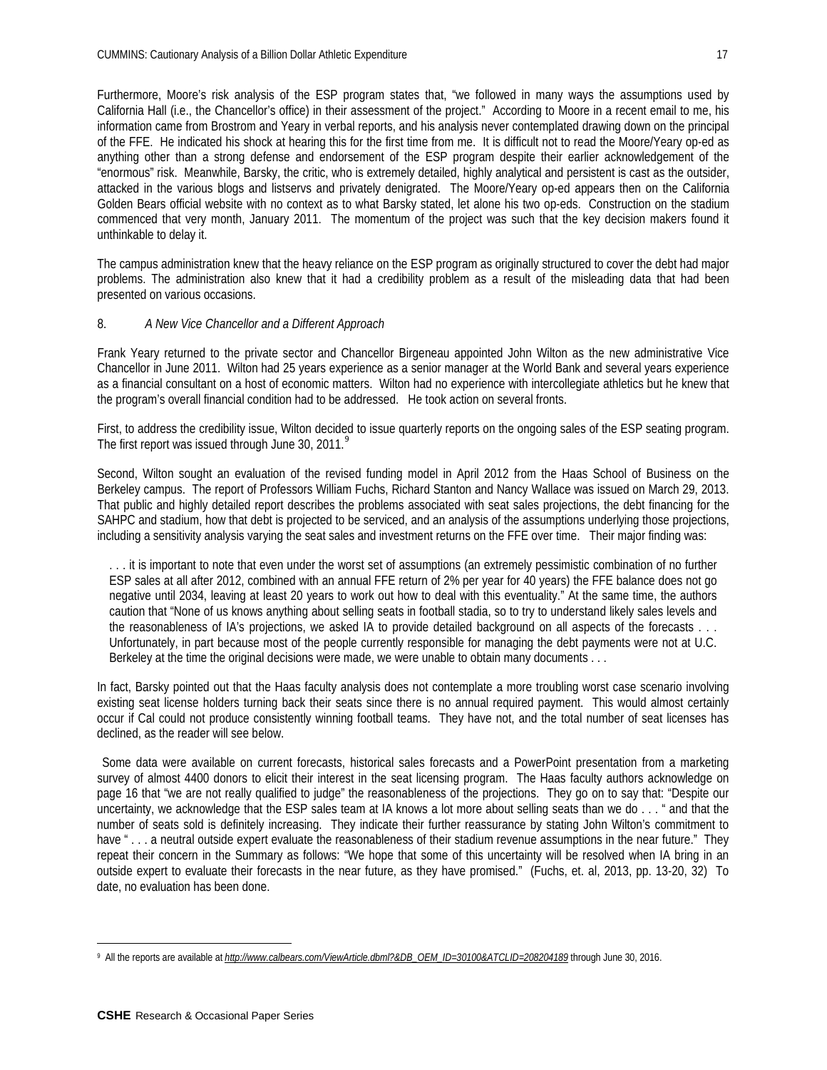Furthermore, Moore's risk analysis of the ESP program states that, "we followed in many ways the assumptions used by California Hall (i.e., the Chancellor's office) in their assessment of the project." According to Moore in a recent email to me, his information came from Brostrom and Yeary in verbal reports, and his analysis never contemplated drawing down on the principal of the FFE. He indicated his shock at hearing this for the first time from me. It is difficult not to read the Moore/Yeary op-ed as anything other than a strong defense and endorsement of the ESP program despite their earlier acknowledgement of the "enormous" risk. Meanwhile, Barsky, the critic, who is extremely detailed, highly analytical and persistent is cast as the outsider, attacked in the various blogs and listservs and privately denigrated. The Moore/Yeary op-ed appears then on the California Golden Bears official website with no context as to what Barsky stated, let alone his two op-eds. Construction on the stadium commenced that very month, January 2011. The momentum of the project was such that the key decision makers found it unthinkable to delay it.

The campus administration knew that the heavy reliance on the ESP program as originally structured to cover the debt had major problems. The administration also knew that it had a credibility problem as a result of the misleading data that had been presented on various occasions.

# 8. *A New Vice Chancellor and a Different Approach*

Frank Yeary returned to the private sector and Chancellor Birgeneau appointed John Wilton as the new administrative Vice Chancellor in June 2011. Wilton had 25 years experience as a senior manager at the World Bank and several years experience as a financial consultant on a host of economic matters. Wilton had no experience with intercollegiate athletics but he knew that the program's overall financial condition had to be addressed. He took action on several fronts.

First, to address the credibility issue, Wilton decided to issue quarterly reports on the ongoing sales of the ESP seating program. The first report was issued through June 30, 2011.<sup>[9](#page-16-0)</sup>

Second, Wilton sought an evaluation of the revised funding model in April 2012 from the Haas School of Business on the Berkeley campus. The report of Professors William Fuchs, Richard Stanton and Nancy Wallace was issued on March 29, 2013. That public and highly detailed report describes the problems associated with seat sales projections, the debt financing for the SAHPC and stadium, how that debt is projected to be serviced, and an analysis of the assumptions underlying those projections, including a sensitivity analysis varying the seat sales and investment returns on the FFE over time. Their major finding was:

. . . it is important to note that even under the worst set of assumptions (an extremely pessimistic combination of no further ESP sales at all after 2012, combined with an annual FFE return of 2% per year for 40 years) the FFE balance does not go negative until 2034, leaving at least 20 years to work out how to deal with this eventuality." At the same time, the authors caution that "None of us knows anything about selling seats in football stadia, so to try to understand likely sales levels and the reasonableness of IA's projections, we asked IA to provide detailed background on all aspects of the forecasts . . . Unfortunately, in part because most of the people currently responsible for managing the debt payments were not at U.C. Berkeley at the time the original decisions were made, we were unable to obtain many documents . . .

In fact, Barsky pointed out that the Haas faculty analysis does not contemplate a more troubling worst case scenario involving existing seat license holders turning back their seats since there is no annual required payment. This would almost certainly occur if Cal could not produce consistently winning football teams. They have not, and the total number of seat licenses has declined, as the reader will see below.

Some data were available on current forecasts, historical sales forecasts and a PowerPoint presentation from a marketing survey of almost 4400 donors to elicit their interest in the seat licensing program. The Haas faculty authors acknowledge on page 16 that "we are not really qualified to judge" the reasonableness of the projections. They go on to say that: "Despite our uncertainty, we acknowledge that the ESP sales team at IA knows a lot more about selling seats than we do . . . " and that the number of seats sold is definitely increasing. They indicate their further reassurance by stating John Wilton's commitment to have "... a neutral outside expert evaluate the reasonableness of their stadium revenue assumptions in the near future." They repeat their concern in the Summary as follows: "We hope that some of this uncertainty will be resolved when IA bring in an outside expert to evaluate their forecasts in the near future, as they have promised." (Fuchs, et. al, 2013, pp. 13-20, 32) To date, no evaluation has been done.

<span id="page-16-0"></span> $\overline{a}$ 9 All the reports are available at *[http://www.calbears.com/ViewArticle.dbml?&DB\\_OEM\\_ID=30100&ATCLID=208204189](http://www.calbears.com/ViewArticle.dbml?&DB_OEM_ID=30100&ATCLID=208204189)* through June 30, 2016.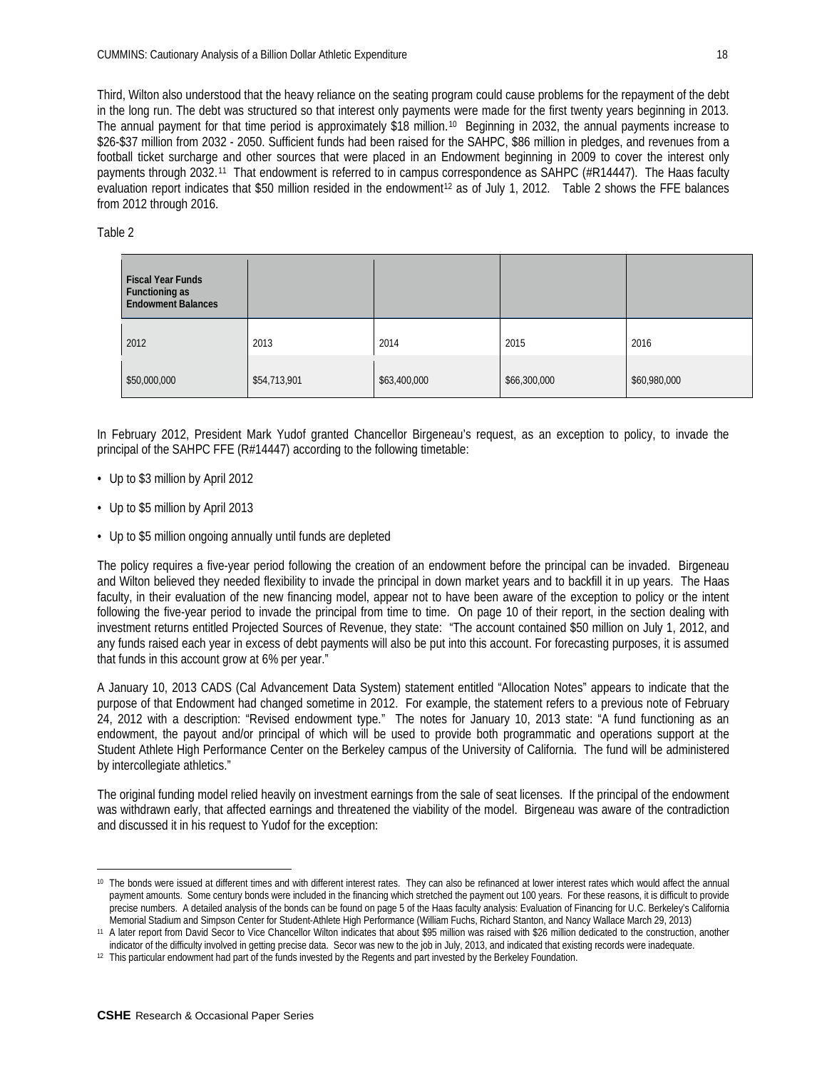Third, Wilton also understood that the heavy reliance on the seating program could cause problems for the repayment of the debt in the long run. The debt was structured so that interest only payments were made for the first twenty years beginning in 2013. The annual payment for that time period is approximately \$18 million.[10](#page-17-0) Beginning in 2032, the annual payments increase to \$26-\$37 million from 2032 - 2050. Sufficient funds had been raised for the SAHPC, \$86 million in pledges, and revenues from a football ticket surcharge and other sources that were placed in an Endowment beginning in 2009 to cover the interest only payments through 2032.[11](#page-17-1) That endowment is referred to in campus correspondence as SAHPC (#R14447). The Haas faculty evaluation report indicates that \$50 million resided in the endowment<sup>[12](#page-17-2)</sup> as of July 1, 2012. Table 2 shows the FFE balances from 2012 through 2016.

Table 2

| <b>Fiscal Year Funds</b><br>Functioning as<br><b>Endowment Balances</b> |              |              |              |              |
|-------------------------------------------------------------------------|--------------|--------------|--------------|--------------|
| 2012                                                                    | 2013         | 2014         | 2015         | 2016         |
| \$50,000,000                                                            | \$54,713,901 | \$63,400,000 | \$66,300,000 | \$60,980,000 |

In February 2012, President Mark Yudof granted Chancellor Birgeneau's request, as an exception to policy, to invade the principal of the SAHPC FFE (R#14447) according to the following timetable:

- *•* Up to \$3 million by April 2012
- *•* Up to \$5 million by April 2013
- *•* Up to \$5 million ongoing annually until funds are depleted

The policy requires a five-year period following the creation of an endowment before the principal can be invaded. Birgeneau and Wilton believed they needed flexibility to invade the principal in down market years and to backfill it in up years. The Haas faculty, in their evaluation of the new financing model, appear not to have been aware of the exception to policy or the intent following the five-year period to invade the principal from time to time. On page 10 of their report, in the section dealing with investment returns entitled Projected Sources of Revenue, they state: "The account contained \$50 million on July 1, 2012, and any funds raised each year in excess of debt payments will also be put into this account. For forecasting purposes, it is assumed that funds in this account grow at 6% per year."

A January 10, 2013 CADS (Cal Advancement Data System) statement entitled "Allocation Notes" appears to indicate that the purpose of that Endowment had changed sometime in 2012. For example, the statement refers to a previous note of February 24, 2012 with a description: "Revised endowment type." The notes for January 10, 2013 state: "A fund functioning as an endowment, the payout and/or principal of which will be used to provide both programmatic and operations support at the Student Athlete High Performance Center on the Berkeley campus of the University of California. The fund will be administered by intercollegiate athletics."

The original funding model relied heavily on investment earnings from the sale of seat licenses. If the principal of the endowment was withdrawn early, that affected earnings and threatened the viability of the model. Birgeneau was aware of the contradiction and discussed it in his request to Yudof for the exception:

 $\overline{a}$ 

<span id="page-17-0"></span><sup>&</sup>lt;sup>10</sup> The bonds were issued at different times and with different interest rates. They can also be refinanced at lower interest rates which would affect the annual payment amounts. Some century bonds were included in the financing which stretched the payment out 100 years. For these reasons, it is difficult to provide precise numbers. A detailed analysis of the bonds can be found on page 5 of the Haas faculty analysis: Evaluation of Financing for U.C. Berkeley's California Memorial Stadium and Simpson Center for Student-Athlete High Performance (William Fuchs, Richard Stanton, and Nancy Wallace March 29, 2013)

<span id="page-17-1"></span><sup>11</sup> A later report from David Secor to Vice Chancellor Wilton indicates that about \$95 million was raised with \$26 million dedicated to the construction, another indicator of the difficulty involved in getting precise data. Secor was new to the job in July, 2013, and indicated that existing records were inadequate.

<span id="page-17-2"></span><sup>12</sup> This particular endowment had part of the funds invested by the Regents and part invested by the Berkeley Foundation.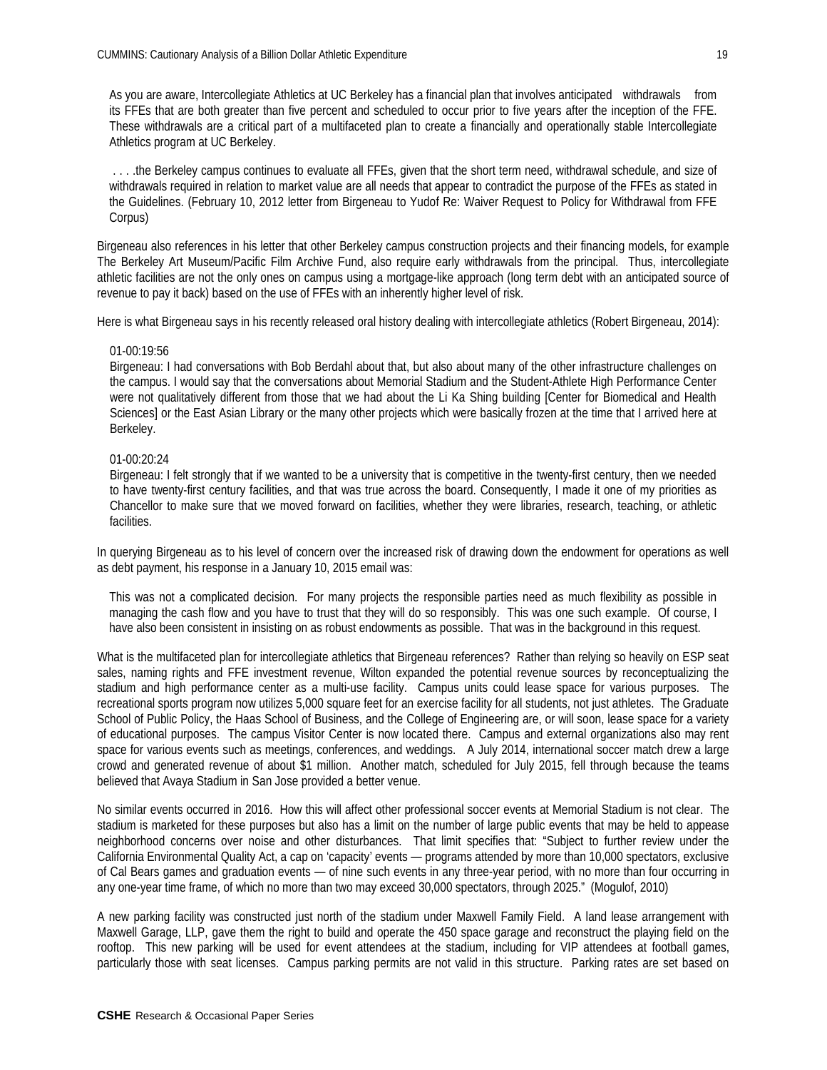As you are aware, Intercollegiate Athletics at UC Berkeley has a financial plan that involves anticipated withdrawals from its FFEs that are both greater than five percent and scheduled to occur prior to five years after the inception of the FFE. These withdrawals are a critical part of a multifaceted plan to create a financially and operationally stable Intercollegiate Athletics program at UC Berkeley.

. . . .the Berkeley campus continues to evaluate all FFEs, given that the short term need, withdrawal schedule, and size of withdrawals required in relation to market value are all needs that appear to contradict the purpose of the FFEs as stated in the Guidelines. (February 10, 2012 letter from Birgeneau to Yudof Re: Waiver Request to Policy for Withdrawal from FFE Corpus)

Birgeneau also references in his letter that other Berkeley campus construction projects and their financing models, for example The Berkeley Art Museum/Pacific Film Archive Fund, also require early withdrawals from the principal. Thus, intercollegiate athletic facilities are not the only ones on campus using a mortgage-like approach (long term debt with an anticipated source of revenue to pay it back) based on the use of FFEs with an inherently higher level of risk.

Here is what Birgeneau says in his recently released oral history dealing with intercollegiate athletics (Robert Birgeneau, 2014):

#### 01-00:19:56

Birgeneau: I had conversations with Bob Berdahl about that, but also about many of the other infrastructure challenges on the campus. I would say that the conversations about Memorial Stadium and the Student-Athlete High Performance Center were not qualitatively different from those that we had about the Li Ka Shing building [Center for Biomedical and Health Sciences] or the East Asian Library or the many other projects which were basically frozen at the time that I arrived here at Berkeley.

## 01-00:20:24

Birgeneau: I felt strongly that if we wanted to be a university that is competitive in the twenty-first century, then we needed to have twenty-first century facilities, and that was true across the board. Consequently, I made it one of my priorities as Chancellor to make sure that we moved forward on facilities, whether they were libraries, research, teaching, or athletic facilities.

In querying Birgeneau as to his level of concern over the increased risk of drawing down the endowment for operations as well as debt payment, his response in a January 10, 2015 email was:

This was not a complicated decision. For many projects the responsible parties need as much flexibility as possible in managing the cash flow and you have to trust that they will do so responsibly. This was one such example. Of course, I have also been consistent in insisting on as robust endowments as possible. That was in the background in this request.

What is the multifaceted plan for intercollegiate athletics that Birgeneau references? Rather than relying so heavily on ESP seat sales, naming rights and FFE investment revenue, Wilton expanded the potential revenue sources by reconceptualizing the stadium and high performance center as a multi-use facility. Campus units could lease space for various purposes. The recreational sports program now utilizes 5,000 square feet for an exercise facility for all students, not just athletes. The Graduate School of Public Policy, the Haas School of Business, and the College of Engineering are, or will soon, lease space for a variety of educational purposes. The campus Visitor Center is now located there. Campus and external organizations also may rent space for various events such as meetings, conferences, and weddings. A July 2014, international soccer match drew a large crowd and generated revenue of about \$1 million. Another match, scheduled for July 2015, fell through because the teams believed that Avaya Stadium in San Jose provided a better venue.

No similar events occurred in 2016. How this will affect other professional soccer events at Memorial Stadium is not clear. The stadium is marketed for these purposes but also has a limit on the number of large public events that may be held to appease neighborhood concerns over noise and other disturbances. That limit specifies that: "Subject to further review under the California Environmental Quality Act, a cap on 'capacity' events — programs attended by more than 10,000 spectators, exclusive of Cal Bears games and graduation events — of nine such events in any three-year period, with no more than four occurring in any one-year time frame, of which no more than two may exceed 30,000 spectators, through 2025." (Mogulof, 2010)

A new parking facility was constructed just north of the stadium under Maxwell Family Field. A land lease arrangement with Maxwell Garage, LLP, gave them the right to build and operate the 450 space garage and reconstruct the playing field on the rooftop. This new parking will be used for event attendees at the stadium, including for VIP attendees at football games, particularly those with seat licenses. Campus parking permits are not valid in this structure. Parking rates are set based on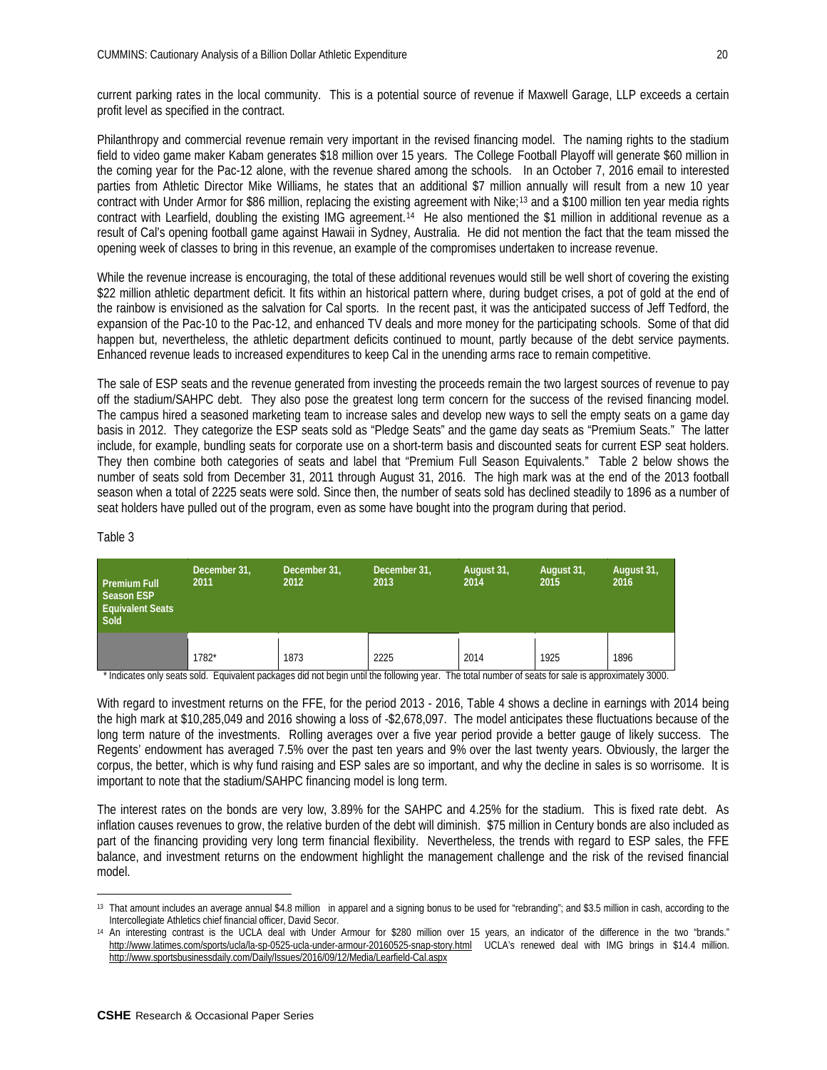current parking rates in the local community. This is a potential source of revenue if Maxwell Garage, LLP exceeds a certain profit level as specified in the contract.

Philanthropy and commercial revenue remain very important in the revised financing model. The naming rights to the stadium field to video game maker Kabam generates \$18 million over 15 years. The College Football Playoff will generate \$60 million in the coming year for the Pac-12 alone, with the revenue shared among the schools. In an October 7, 2016 email to interested parties from Athletic Director Mike Williams, he states that an additional \$7 million annually will result from a new 10 year contract with Under Armor for \$86 million, replacing the existing agreement with Nike;<sup>[13](#page-19-0)</sup> and a \$100 million ten year media rights contract with Learfield, doubling the existing IMG agreement.[14](#page-19-1) He also mentioned the \$1 million in additional revenue as a result of Cal's opening football game against Hawaii in Sydney, Australia. He did not mention the fact that the team missed the opening week of classes to bring in this revenue, an example of the compromises undertaken to increase revenue.

While the revenue increase is encouraging, the total of these additional revenues would still be well short of covering the existing \$22 million athletic department deficit. It fits within an historical pattern where, during budget crises, a pot of gold at the end of the rainbow is envisioned as the salvation for Cal sports. In the recent past, it was the anticipated success of Jeff Tedford, the expansion of the Pac-10 to the Pac-12, and enhanced TV deals and more money for the participating schools. Some of that did happen but, nevertheless, the athletic department deficits continued to mount, partly because of the debt service payments. Enhanced revenue leads to increased expenditures to keep Cal in the unending arms race to remain competitive.

The sale of ESP seats and the revenue generated from investing the proceeds remain the two largest sources of revenue to pay off the stadium/SAHPC debt. They also pose the greatest long term concern for the success of the revised financing model. The campus hired a seasoned marketing team to increase sales and develop new ways to sell the empty seats on a game day basis in 2012. They categorize the ESP seats sold as "Pledge Seats" and the game day seats as "Premium Seats." The latter include, for example, bundling seats for corporate use on a short-term basis and discounted seats for current ESP seat holders. They then combine both categories of seats and label that "Premium Full Season Equivalents." Table 2 below shows the number of seats sold from December 31, 2011 through August 31, 2016. The high mark was at the end of the 2013 football season when a total of 2225 seats were sold. Since then, the number of seats sold has declined steadily to 1896 as a number of seat holders have pulled out of the program, even as some have bought into the program during that period.

| ١Ι<br>Ħ<br>r |  |
|--------------|--|
|--------------|--|

| <b>Premium Full</b><br><b>Season ESP</b><br><b>Equivalent Seats</b><br>Sold | December 31,<br>December 31,<br>2011<br>2012 |      | December 31,<br>2013 | August 31,<br>2014 | August 31,<br>2015 | August 31,<br>2016 |
|-----------------------------------------------------------------------------|----------------------------------------------|------|----------------------|--------------------|--------------------|--------------------|
|                                                                             | 1782*                                        | 1873 | 2225                 | 2014               | 1925               | 1896               |

\* Indicates only seats sold. Equivalent packages did not begin until the following year. The total number of seats for sale is approximately 3000.

With regard to investment returns on the FFE, for the period 2013 - 2016, Table 4 shows a decline in earnings with 2014 being the high mark at \$10,285,049 and 2016 showing a loss of -\$2,678,097. The model anticipates these fluctuations because of the long term nature of the investments. Rolling averages over a five year period provide a better gauge of likely success. The Regents' endowment has averaged 7.5% over the past ten years and 9% over the last twenty years. Obviously, the larger the corpus, the better, which is why fund raising and ESP sales are so important, and why the decline in sales is so worrisome. It is important to note that the stadium/SAHPC financing model is long term.

The interest rates on the bonds are very low, 3.89% for the SAHPC and 4.25% for the stadium. This is fixed rate debt. As inflation causes revenues to grow, the relative burden of the debt will diminish. \$75 million in Century bonds are also included as part of the financing providing very long term financial flexibility. Nevertheless, the trends with regard to ESP sales, the FFE balance, and investment returns on the endowment highlight the management challenge and the risk of the revised financial model.

<span id="page-19-0"></span> $\overline{a}$ <sup>13</sup> That amount includes an average annual \$4.8 million in apparel and a signing bonus to be used for "rebranding"; and \$3.5 million in cash, according to the Intercollegiate Athletics chief financial officer, David Secor.

<span id="page-19-1"></span><sup>&</sup>lt;sup>14</sup> An interesting contrast is the UCLA deal with Under Armour for \$280 million over 15 years, an indicator of the difference in the two "brands." <http://www.latimes.com/sports/ucla/la-sp-0525-ucla-under-armour-20160525-snap-story.html>UCLA's renewed deal with IMG brings in \$14.4 million. <http://www.sportsbusinessdaily.com/Daily/Issues/2016/09/12/Media/Learfield-Cal.aspx>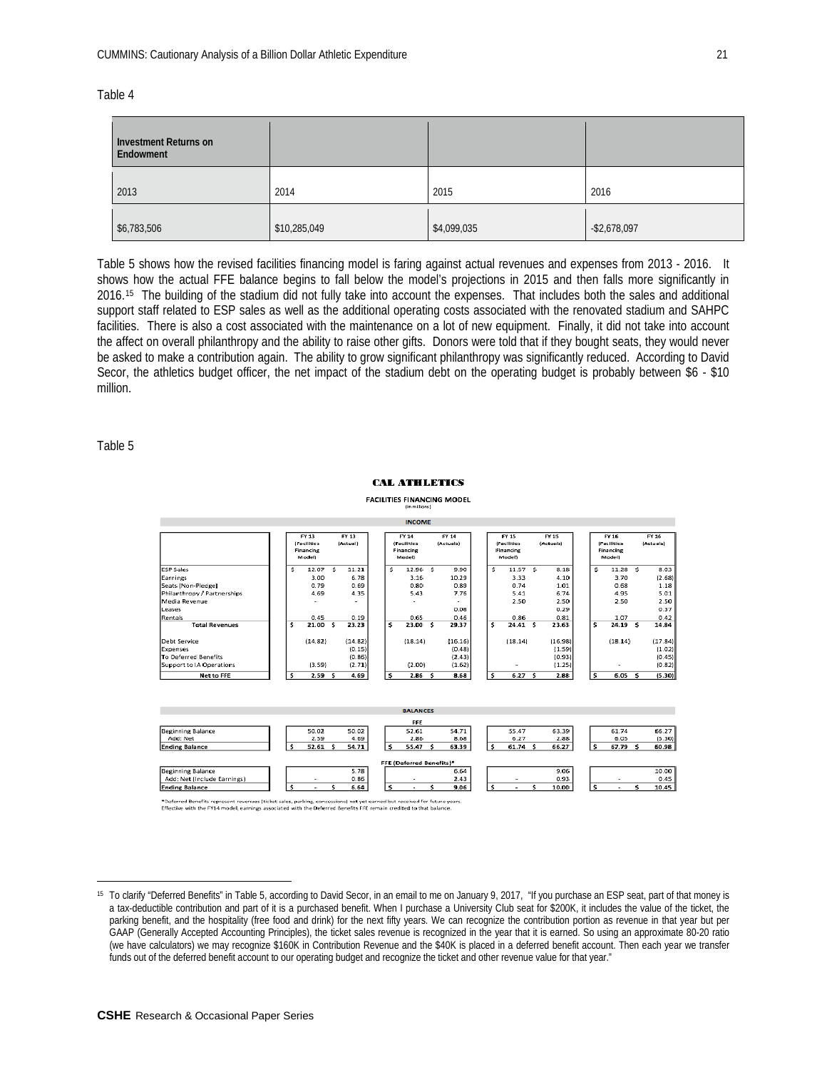| able |  |
|------|--|
|------|--|

| Investment Returns on<br>Endowment |              |             |                 |
|------------------------------------|--------------|-------------|-----------------|
| 2013                               | 2014         | 2015        | 2016            |
| \$6,783,506                        | \$10,285,049 | \$4,099,035 | $-$ \$2,678,097 |

Table 5 shows how the revised facilities financing model is faring against actual revenues and expenses from 2013 - 2016. It shows how the actual FFE balance begins to fall below the model's projections in 2015 and then falls more significantly in 2016.[15](#page-20-0) The building of the stadium did not fully take into account the expenses. That includes both the sales and additional support staff related to ESP sales as well as the additional operating costs associated with the renovated stadium and SAHPC facilities. There is also a cost associated with the maintenance on a lot of new equipment. Finally, it did not take into account the affect on overall philanthropy and the ability to raise other gifts. Donors were told that if they bought seats, they would never be asked to make a contribution again. The ability to grow significant philanthropy was significantly reduced. According to David Secor, the athletics budget officer, the net impact of the stadium debt on the operating budget is probably between \$6 - \$10 million.

Table 5

 $\overline{a}$ 

#### **CAL ATHLETICS**



|                             |     |                                             |     |                   |    | <b>INCOME</b>                                             |                    |      |                                                                  |      |                    |   |                                                    |                          |   |                    |
|-----------------------------|-----|---------------------------------------------|-----|-------------------|----|-----------------------------------------------------------|--------------------|------|------------------------------------------------------------------|------|--------------------|---|----------------------------------------------------|--------------------------|---|--------------------|
|                             |     | FY 13<br>(Facilities<br>Financing<br>Modell |     | FY 13<br>(Actual) |    | FY 14<br><i><b>(Facilities</b></i><br>Financing<br>Model) | FY 14<br>(Actuals) |      | <b>FY 15</b><br><i><b>IFacilities</b></i><br>Financing<br>Modell |      | FY 15<br>(Actuals) |   | FY 16<br><b>(Facilities</b><br>Financing<br>Modell |                          |   | FY 16<br>(Actuals) |
| <b>ESP Sales</b>            | ۹   | 12.07                                       | s   | 11.21             | Š. | 12.96 \$                                                  | 9.90               | ŝ.   | 11.57 \$                                                         |      | 8.18               | s |                                                    | $11.28$ \$               |   | 8.03               |
| Earnings                    |     | 3.00                                        |     | 6.78              |    | 3.16                                                      | 10.29              |      | 3.33                                                             |      | 4.10               |   |                                                    | 3.70                     |   | (2.68)             |
| Seats (Non-Pledge)          |     | 0.79                                        |     | 0.69              |    | 0.80                                                      | 0.89               |      | 0.74                                                             |      | 1.01               |   |                                                    | 0.68                     |   | 1.18               |
| Philanthropy / Partnerships |     | 4.69                                        |     | 4.35              |    | 5.43                                                      | 7.76               |      | 5.41                                                             |      | 6.74               |   |                                                    | 4.95                     |   | 5.01               |
| Media Revenue               |     |                                             |     |                   |    |                                                           |                    |      | 2.50                                                             |      | 2.50               |   |                                                    | 2.50                     |   | 2.50               |
| Leases                      |     |                                             |     |                   |    |                                                           | 0.08               |      |                                                                  |      | 0.29               |   |                                                    |                          |   | 0.37               |
| Rentals                     |     | 0.45                                        |     | 0.19              |    | 0.65                                                      | 0.46               |      | 0.86                                                             |      | 0.81               |   |                                                    | 1.07                     |   | 0.42               |
| <b>Total Revenues</b>       | s   | 21.00                                       | - S | 23.23             | s  | 23.00 \$                                                  | 29.37              | s.   | 24.41S                                                           |      | 23.63              | s |                                                    | 24.19 <sub>5</sub>       |   | 14.84              |
| Debt Service                |     | (14.82)                                     |     | (14.82)           |    | (18.14)                                                   | (16.16)            |      | (18.14)                                                          |      | (16.98)            |   |                                                    | (18.14)                  |   | (17.84)            |
| Expenses                    |     |                                             |     | (0.15)            |    |                                                           | (0.48)             |      |                                                                  |      | (1.59)             |   |                                                    |                          |   | (1.02)             |
| To Deferred Benefits        |     |                                             |     | (0.86)            |    |                                                           | (2.43)             |      |                                                                  |      | (0.93)             |   |                                                    |                          |   | (0.45)             |
| Support to IA Operations    |     | (3.59)                                      |     | (2.71)            |    | (2.00)                                                    | (1.62)             |      | ٠                                                                |      | (1.25)             |   |                                                    | $\overline{\phantom{a}}$ |   | (0.82)             |
| Net to FFE                  | \$. | 2.59                                        | -S  | 4.69              | s  | 2.86 <sub>5</sub>                                         | 8.68               | ءَ ، | 6.27                                                             | - \$ | 2.88               | s |                                                    | 6.05                     | s | (5.30)             |

|                             |        |      |       |  | <b>BALANCES</b>          |       |  |           |       |  |          |        |
|-----------------------------|--------|------|-------|--|--------------------------|-------|--|-----------|-------|--|----------|--------|
|                             |        |      |       |  | FFE                      |       |  |           |       |  |          |        |
| Beginning Balance           | 50.02  |      | 50.02 |  | 52.61                    | 54.71 |  | 55.47     | 63.39 |  | 61.74    | 66.27  |
| Add: Net                    |        | 2.59 | 4.69  |  | 2.86                     | 8.68  |  | 6.27      | 2.88  |  | 6.05     | (5.30) |
| <b>Ending Balance</b>       | 52.61  |      | 54.71 |  | 55.47                    | 63.39 |  | $61.74$ 5 | 66.27 |  | 67.79 \$ | 60.98  |
|                             |        |      |       |  |                          |       |  |           |       |  |          |        |
|                             |        |      |       |  | FFE (Deferred Benefits)* |       |  |           |       |  |          |        |
| <b>Beginning Balance</b>    |        |      | 5.78  |  |                          | 6.64  |  |           | 9.06  |  |          | 10.00  |
| Add: Net (Include Earnings) | $\sim$ |      | 0.86  |  |                          | 2.43  |  |           | 0.93  |  | $\sim$   | 0.45   |
| <b>Ending Balance</b>       |        |      | 6.64  |  |                          | 9.06  |  |           | 10.00 |  |          | 10.45  |
|                             |        |      |       |  |                          |       |  |           |       |  |          |        |

\*Deferred Benefits represent revenues (ticket sales, parking, concessions) not yet earned but received for future years.<br>Effective with the FY14 model, earnings associated with the Deferred Benefits FFE remain credited to

<span id="page-20-0"></span><sup>15</sup> To clarify "Deferred Benefits" in Table 5, according to David Secor, in an email to me on January 9, 2017, "If you purchase an ESP seat, part of that money is a tax-deductible contribution and part of it is a purchased benefit. When I purchase a University Club seat for \$200K, it includes the value of the ticket, the parking benefit, and the hospitality (free food and drink) for the next fifty years. We can recognize the contribution portion as revenue in that year but per GAAP (Generally Accepted Accounting Principles), the ticket sales revenue is recognized in the year that it is earned. So using an approximate 80-20 ratio (we have calculators) we may recognize \$160K in Contribution Revenue and the \$40K is placed in a deferred benefit account. Then each year we transfer funds out of the deferred benefit account to our operating budget and recognize the ticket and other revenue value for that year."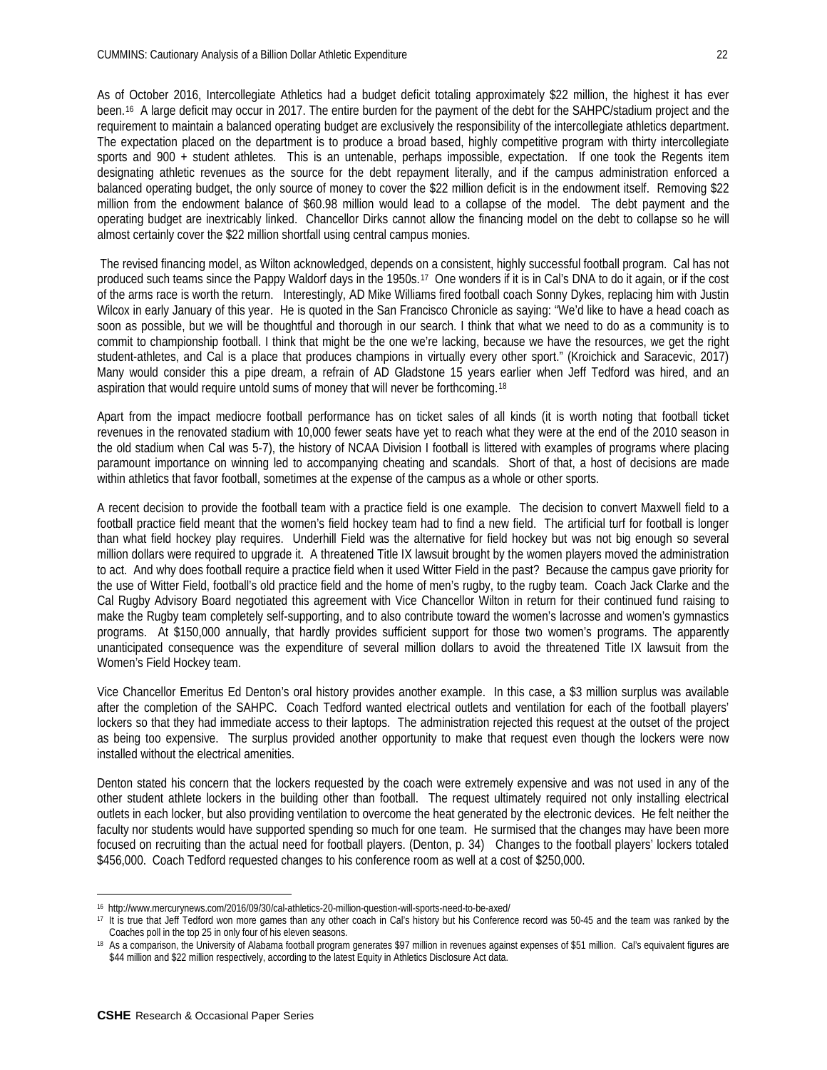As of October 2016, Intercollegiate Athletics had a budget deficit totaling approximately \$22 million, the highest it has ever been.[16](#page-21-0) A large deficit may occur in 2017. The entire burden for the payment of the debt for the SAHPC/stadium project and the requirement to maintain a balanced operating budget are exclusively the responsibility of the intercollegiate athletics department. The expectation placed on the department is to produce a broad based, highly competitive program with thirty intercollegiate sports and 900 + student athletes. This is an untenable, perhaps impossible, expectation. If one took the Regents item designating athletic revenues as the source for the debt repayment literally, and if the campus administration enforced a balanced operating budget, the only source of money to cover the \$22 million deficit is in the endowment itself. Removing \$22 million from the endowment balance of \$60.98 million would lead to a collapse of the model. The debt payment and the operating budget are inextricably linked. Chancellor Dirks cannot allow the financing model on the debt to collapse so he will almost certainly cover the \$22 million shortfall using central campus monies.

The revised financing model, as Wilton acknowledged, depends on a consistent, highly successful football program. Cal has not produced such teams since the Pappy Waldorf days in the 1950s.[17](#page-21-1) One wonders if it is in Cal's DNA to do it again, or if the cost of the arms race is worth the return. Interestingly, AD Mike Williams fired football coach Sonny Dykes, replacing him with Justin Wilcox in early January of this year. He is quoted in the San Francisco Chronicle as saying: "We'd like to have a head coach as soon as possible, but we will be thoughtful and thorough in our search. I think that what we need to do as a community is to commit to championship football. I think that might be the one we're lacking, because we have the resources, we get the right student-athletes, and Cal is a place that produces champions in virtually every other sport." (Kroichick and Saracevic, 2017) Many would consider this a pipe dream, a refrain of AD Gladstone 15 years earlier when Jeff Tedford was hired, and an aspiration that would require untold sums of money that will never be forthcoming.[18](#page-21-2)

Apart from the impact mediocre football performance has on ticket sales of all kinds (it is worth noting that football ticket revenues in the renovated stadium with 10,000 fewer seats have yet to reach what they were at the end of the 2010 season in the old stadium when Cal was 5-7), the history of NCAA Division I football is littered with examples of programs where placing paramount importance on winning led to accompanying cheating and scandals. Short of that, a host of decisions are made within athletics that favor football, sometimes at the expense of the campus as a whole or other sports.

A recent decision to provide the football team with a practice field is one example. The decision to convert Maxwell field to a football practice field meant that the women's field hockey team had to find a new field. The artificial turf for football is longer than what field hockey play requires. Underhill Field was the alternative for field hockey but was not big enough so several million dollars were required to upgrade it. A threatened Title IX lawsuit brought by the women players moved the administration to act. And why does football require a practice field when it used Witter Field in the past? Because the campus gave priority for the use of Witter Field, football's old practice field and the home of men's rugby, to the rugby team. Coach Jack Clarke and the Cal Rugby Advisory Board negotiated this agreement with Vice Chancellor Wilton in return for their continued fund raising to make the Rugby team completely self-supporting, and to also contribute toward the women's lacrosse and women's gymnastics programs. At \$150,000 annually, that hardly provides sufficient support for those two women's programs. The apparently unanticipated consequence was the expenditure of several million dollars to avoid the threatened Title IX lawsuit from the Women's Field Hockey team.

Vice Chancellor Emeritus Ed Denton's oral history provides another example. In this case, a \$3 million surplus was available after the completion of the SAHPC. Coach Tedford wanted electrical outlets and ventilation for each of the football players' lockers so that they had immediate access to their laptops. The administration rejected this request at the outset of the project as being too expensive. The surplus provided another opportunity to make that request even though the lockers were now installed without the electrical amenities.

Denton stated his concern that the lockers requested by the coach were extremely expensive and was not used in any of the other student athlete lockers in the building other than football. The request ultimately required not only installing electrical outlets in each locker, but also providing ventilation to overcome the heat generated by the electronic devices. He felt neither the faculty nor students would have supported spending so much for one team. He surmised that the changes may have been more focused on recruiting than the actual need for football players. (Denton, p. 34) Changes to the football players' lockers totaled \$456,000. Coach Tedford requested changes to his conference room as well at a cost of \$250,000.

 $\overline{a}$ 

<span id="page-21-0"></span><sup>16</sup> http://www.mercurynews.com/2016/09/30/cal-athletics-20-million-question-will-sports-need-to-be-axed/

<span id="page-21-1"></span><sup>17</sup> It is true that Jeff Tedford won more games than any other coach in Cal's history but his Conference record was 50-45 and the team was ranked by the Coaches poll in the top 25 in only four of his eleven seasons.

<span id="page-21-2"></span><sup>18</sup> As a comparison, the University of Alabama football program generates \$97 million in revenues against expenses of \$51 million. Cal's equivalent figures are \$44 million and \$22 million respectively, according to the latest Equity in Athletics Disclosure Act data.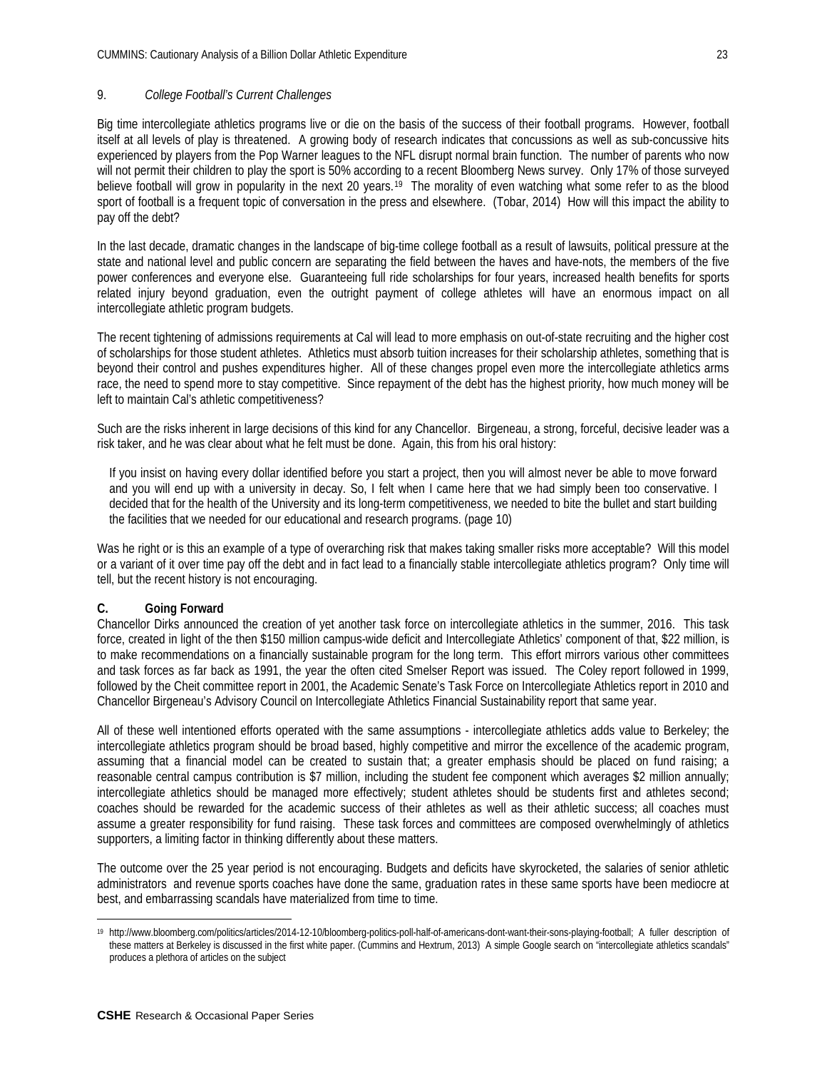## 9. *College Football's Current Challenges*

Big time intercollegiate athletics programs live or die on the basis of the success of their football programs. However, football itself at all levels of play is threatened. A growing body of research indicates that concussions as well as sub-concussive hits experienced by players from the Pop Warner leagues to the NFL disrupt normal brain function. The number of parents who now will not permit their children to play the sport is 50% according to a recent Bloomberg News survey. Only 17% of those surveyed believe football will grow in popularity in the next 20 years.<sup>[19](#page-22-0)</sup> The morality of even watching what some refer to as the blood sport of football is a frequent topic of conversation in the press and elsewhere. (Tobar, 2014) How will this impact the ability to pay off the debt?

In the last decade, dramatic changes in the landscape of big-time college football as a result of lawsuits, political pressure at the state and national level and public concern are separating the field between the haves and have-nots, the members of the five power conferences and everyone else. Guaranteeing full ride scholarships for four years, increased health benefits for sports related injury beyond graduation, even the outright payment of college athletes will have an enormous impact on all intercollegiate athletic program budgets.

The recent tightening of admissions requirements at Cal will lead to more emphasis on out-of-state recruiting and the higher cost of scholarships for those student athletes. Athletics must absorb tuition increases for their scholarship athletes, something that is beyond their control and pushes expenditures higher. All of these changes propel even more the intercollegiate athletics arms race, the need to spend more to stay competitive. Since repayment of the debt has the highest priority, how much money will be left to maintain Cal's athletic competitiveness?

Such are the risks inherent in large decisions of this kind for any Chancellor. Birgeneau, a strong, forceful, decisive leader was a risk taker, and he was clear about what he felt must be done. Again, this from his oral history:

If you insist on having every dollar identified before you start a project, then you will almost never be able to move forward and you will end up with a university in decay. So, I felt when I came here that we had simply been too conservative. I decided that for the health of the University and its long-term competitiveness, we needed to bite the bullet and start building the facilities that we needed for our educational and research programs. (page 10)

Was he right or is this an example of a type of overarching risk that makes taking smaller risks more acceptable? Will this model or a variant of it over time pay off the debt and in fact lead to a financially stable intercollegiate athletics program? Only time will tell, but the recent history is not encouraging.

## **C. Going Forward**

Chancellor Dirks announced the creation of yet another task force on intercollegiate athletics in the summer, 2016. This task force, created in light of the then \$150 million campus-wide deficit and Intercollegiate Athletics' component of that, \$22 million, is to make recommendations on a financially sustainable program for the long term. This effort mirrors various other committees and task forces as far back as 1991, the year the often cited Smelser Report was issued. The Coley report followed in 1999, followed by the Cheit committee report in 2001, the Academic Senate's Task Force on Intercollegiate Athletics report in 2010 and Chancellor Birgeneau's Advisory Council on Intercollegiate Athletics Financial Sustainability report that same year.

All of these well intentioned efforts operated with the same assumptions - intercollegiate athletics adds value to Berkeley; the intercollegiate athletics program should be broad based, highly competitive and mirror the excellence of the academic program, assuming that a financial model can be created to sustain that; a greater emphasis should be placed on fund raising; a reasonable central campus contribution is \$7 million, including the student fee component which averages \$2 million annually; intercollegiate athletics should be managed more effectively; student athletes should be students first and athletes second; coaches should be rewarded for the academic success of their athletes as well as their athletic success; all coaches must assume a greater responsibility for fund raising. These task forces and committees are composed overwhelmingly of athletics supporters, a limiting factor in thinking differently about these matters.

The outcome over the 25 year period is not encouraging. Budgets and deficits have skyrocketed, the salaries of senior athletic administrators and revenue sports coaches have done the same, graduation rates in these same sports have been mediocre at best, and embarrassing scandals have materialized from time to time.

<span id="page-22-0"></span> $\overline{a}$ <sup>19</sup> [http://www.bloomberg.com/politics/articles/2014-12-10/bloomberg-politics-poll-half-of-americans-dont-want-their-sons-playing-football;](http://www.bloomberg.com/politics/articles/2014-12-10/bloomberg-politics-poll-half-of-americans-dont-want-their-sons-playing-football) A fuller description of these matters at Berkeley is discussed in the first white paper. (Cummins and Hextrum, 2013) A simple Google search on "intercollegiate athletics scandals" produces a plethora of articles on the subject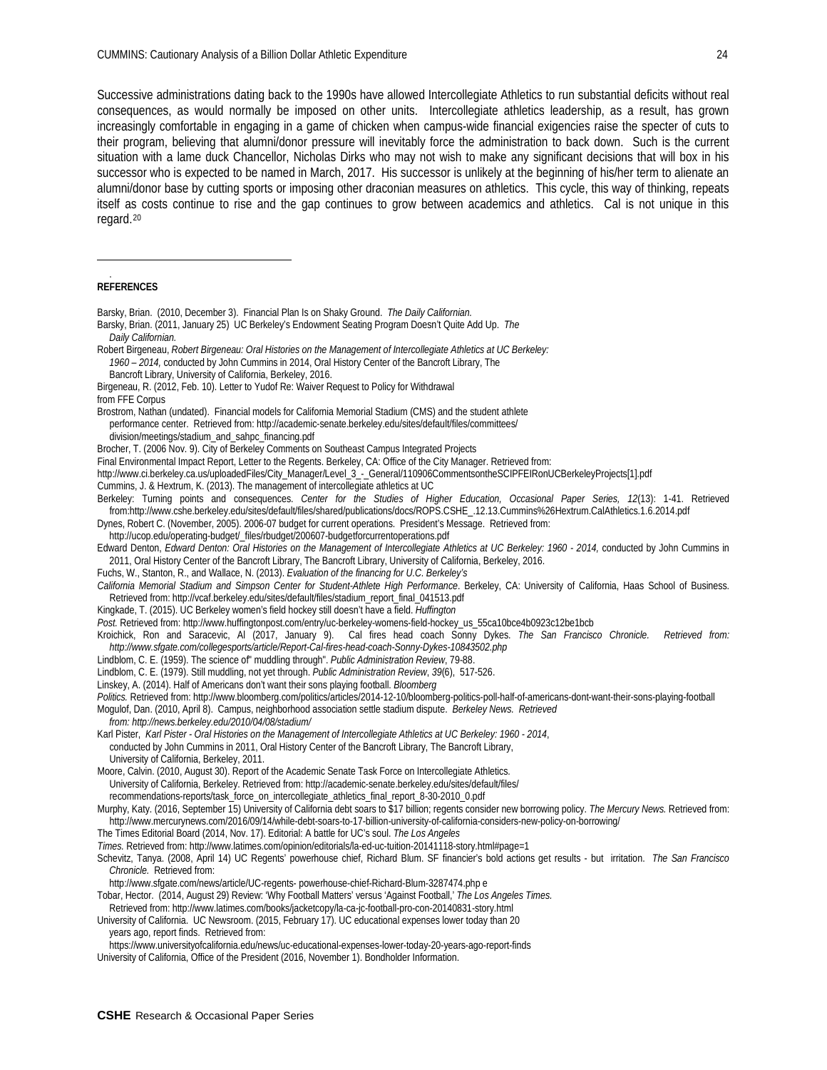Successive administrations dating back to the 1990s have allowed Intercollegiate Athletics to run substantial deficits without real consequences, as would normally be imposed on other units. Intercollegiate athletics leadership, as a result, has grown increasingly comfortable in engaging in a game of chicken when campus-wide financial exigencies raise the specter of cuts to their program, believing that alumni/donor pressure will inevitably force the administration to back down. Such is the current situation with a lame duck Chancellor, Nicholas Dirks who may not wish to make any significant decisions that will box in his successor who is expected to be named in March, 2017. His successor is unlikely at the beginning of his/her term to alienate an alumni/donor base by cutting sports or imposing other draconian measures on athletics. This cycle, this way of thinking, repeats itself as costs continue to rise and the gap continues to grow between academics and athletics. Cal is not unique in this regard.[20](#page-23-0)

#### <span id="page-23-0"></span>**REFERENCES**

 $\overline{a}$ .

- Barsky, Brian. (2010, December 3). Financial Plan Is on Shaky Ground. *The Daily Californian.* Barsky, Brian. (2011, January 25) UC Berkeley's Endowment Seating Program Doesn't Quite Add Up. *The*
- *Daily Californian.*
- Robert Birgeneau, *Robert Birgeneau: Oral Histories on the Management of Intercollegiate Athletics at UC Berkeley: 1960 – 2014,* conducted by John Cummins in 2014, Oral History Center of the Bancroft Library, The
- Bancroft Library, University of California, Berkeley, 2016.
- Birgeneau, R. (2012, Feb. 10). Letter to Yudof Re: Waiver Request to Policy for Withdrawal
- from FFE Corpus
- Brostrom, Nathan (undated). Financial models for California Memorial Stadium (CMS) and the student athlete
- performance center. Retrieved from: <http://academic-senate.berkeley.edu/sites/default/files/committees/>
- division/meetings/stadium\_and\_sahpc\_financing.pdf
- Brocher, T. (2006 Nov. 9). City of Berkeley Comments on Southeast Campus Integrated Projects
- Final Environmental Impact Report, Letter to the Regents. Berkeley, CA: Office of the City Manager. Retrieved from:
- http://www.ci.berkeley.ca.us/uploadedFiles/City\_Manager/Level\_3\_-\_General/110906CommentsontheSCIPFEIRonUCBerkeleyProjects[1].pdf
- Cummins, J. & Hextrum, K. (2013). The management of intercollegiate athletics at UC
- Berkeley: Turning points and consequences. *Center for the Studies of Higher Education, Occasional Paper Series, 12*(13): 1-41. Retrieved fro[m:http://www.cshe.berkeley.edu/sites/default/files/shared/publications/docs/ROPS.CSHE\\_.12.13.Cummins%26Hextrum.CalAthletics.1.6.2014.pdf](http://www.cshe.berkeley.edu/sites/default/files/shared/publications/docs/ROPS.CSHE_.12.13.Cummins%25252526Hextrum.CalAthletics.1.6.2014.pdf)

Dynes, Robert C. (November, 2005). 2006-07 budget for current operations. President's Message. Retrieved from: http://ucop.edu/operating-budget/\_files/rbudget/200607-budgetforcurrentoperations.pdf

- Edward Denton, Edward Denton: Oral Histories on the Management of Intercollegiate Athletics at UC Berkeley: 1960 2014, conducted by John Cummins in 2011, Oral History Center of the Bancroft Library, The Bancroft Library, University of California, Berkeley, 2016.
- Fuchs, W., Stanton, R., and Wallace, N. (2013). *Evaluation of the financing for U.C. Berkeley's*
- *California Memorial Stadium and Simpson Center for Student-Athlete High Performance*. Berkeley, CA: University of California, Haas School of Business. Retrieved from: http://vcaf.berkeley.edu/sites/default/files/stadium\_report\_final\_041513.pdf
- Kingkade, T. (2015). UC Berkeley women's field hockey still doesn't have a field. *Huffington*
- *Post.* Retrieved from: [http://www.huffingtonpost.com/entry/uc-berkeley-womens-field-hockey\\_us\\_55ca10bce4b0923c12be1bcb](http://www.huffingtonpost.com/entry/uc-berkeley-womens-field-hockey_us_55ca10bce4b0923c12be1bcb)
- Kroichick, Ron and Saracevic, Al (2017, January 9). Cal fires head coach Sonny Dykes. *The San Francisco Chronicle. Retrieved from: http://www.sfgate.com/collegesports/article/Report-Cal-fires-head-coach-Sonny-Dykes-10843502.php*
- Lindblom, C. E. (1959). The science of" muddling through". *Public Administration Review*, 79-88.
- Lindblom, C. E. (1979). Still muddling, not yet through. *Public Administration Review*, *39*(6), 517-526.
- Linskey, A. (2014). Half of Americans don't want their sons playing football. *Bloomberg*
- *Politics.* Retrieved from: <http://www.bloomberg.com/politics/articles/2014-12-10/bloomberg-politics-poll-half-of-americans-dont-want-their-sons-playing-football> Mogulof, Dan. (2010, April 8). Campus, neighborhood association settle stadium dispute. *Berkeley News. Retrieved*
- *from: http://news.berkeley.edu/2010/04/08/stadium/*
- Karl Pister, Karl Pister Oral Histories on the Management of Intercollegiate Athletics at UC Berkeley: 1960 2014,
- conducted by John Cummins in 2011, Oral History Center of the Bancroft Library, The Bancroft Library,
- University of California, Berkeley, 2011.
- Moore, Calvin. (2010, August 30). Report of the Academic Senate Task Force on Intercollegiate Athletics. University of California, Berkeley. Retrieved from: <http://academic-senate.berkeley.edu/sites/default/files/> recommendations-reports/task\_force\_on\_intercollegiate\_athletics\_final\_report\_8-30-2010\_0.pdf
- Murphy, Katy. (2016, September 15) University of California debt soars to \$17 billion; regents consider new borrowing policy. *The Mercury News.* Retrieved from: http://www.mercurynews.com/2016/09/14/while-debt-soars-to-17-billion-university-of-california-considers-new-policy-on-borrowing/
- The Times Editorial Board (2014, Nov. 17). Editorial: A battle for UC's soul. *The Los Angeles*
- *Times.* Retrieved from: http://www.latimes.com/opinion/editorials/la-ed-uc-tuition-20141118-story.html#page=1
- Schevitz, Tanya. (2008, April 14) UC Regents' powerhouse chief, Richard Blum. SF financier's bold actions get results but irritation. *The San Francisco Chronicle.* Retrieved from:
	- <http://www.sfgate.com/news/article/UC-regents-> powerhouse-chief-Richard-Blum-3287474.php e
- Tobar, Hector. (2014, August 29) Review: 'Why Football Matters' versus 'Against Football,' *The Los Angeles Times.*
- Retrieved from: http://www.latimes.com/books/jacketcopy/la-ca-jc-football-pro-con-20140831-story.html University of California. UC Newsroom. (2015, February 17). UC educational expenses lower today than 20
	- years ago, report finds. Retrieved from:
- https://www.universityofcalifornia.edu/news/uc-educational-expenses-lower-today-20-years-ago-report-finds
- University of California, Office of the President (2016, November 1). Bondholder Information.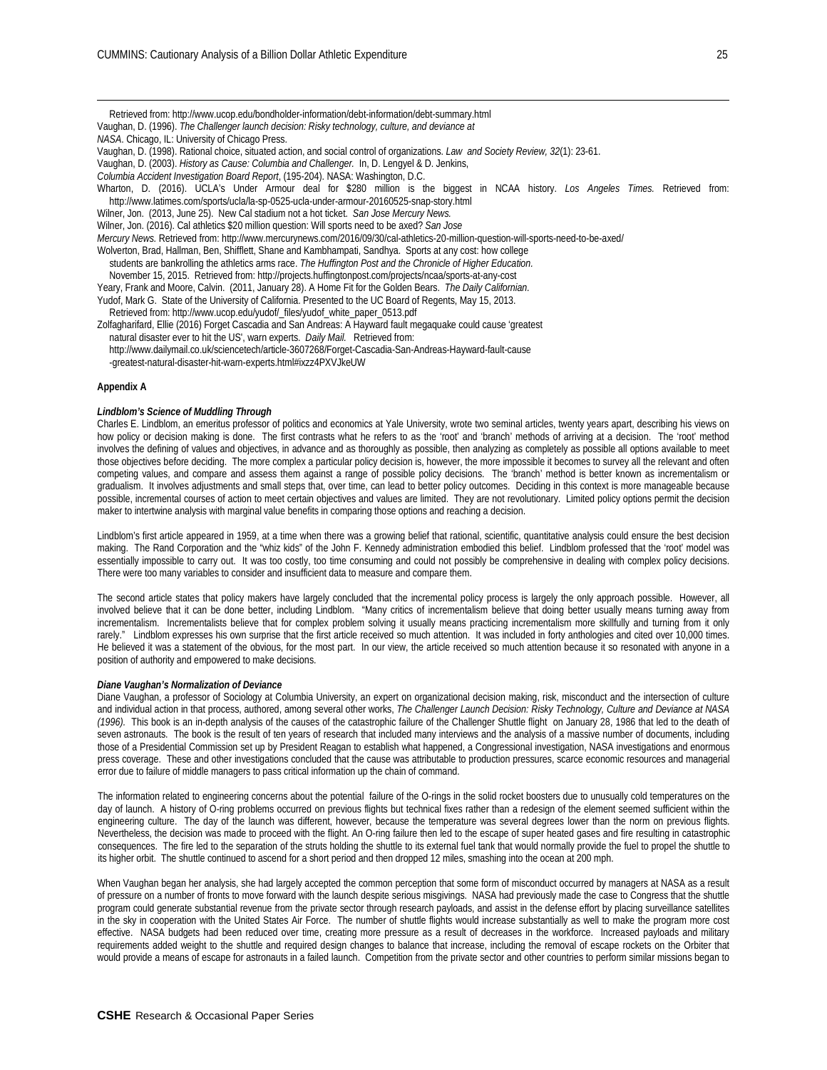Retrieved from: http://www.ucop.edu/bondholder-information/debt-information/debt-summary.html

Vaughan, D. (1996). *The Challenger launch decision: Risky technology, culture, and deviance at NASA*. Chicago, IL: University of Chicago Press. Vaughan, D. (1998). Rational choice, situated action, and social control of organizations. *Law and Society Review, 32*(1): 23-61. Vaughan, D. (2003). *History as Cause: Columbia and Challenger.* In, D. Lengyel & D. Jenkins, *Columbia Accident Investigation Board Report*, (195-204). NASA: Washington, D.C. Wharton, D. (2016). UCLA's Under Armour deal for \$280 million is the biggest in NCAA history. *Los Angeles Times.* Retrieved from: http://www.latimes.com/sports/ucla/la-sp-0525-ucla-under-armour-20160525-snap-story.html Wilner, Jon. (2013, June 25). New Cal stadium not a hot ticket. *San Jose Mercury News.*  Wilner, Jon. (2016). Cal athletics \$20 million question: Will sports need to be axed? *San Jose Mercury News.* Retrieved from: <http://www.mercurynews.com/2016/09/30/cal-athletics-20-million-question-will-sports-need-to-be-axed/> Wolverton, Brad, Hallman, Ben, Shifflett, Shane and Kambhampati, Sandhya. Sports at any cost: how college students are bankrolling the athletics arms race. *The Huffington Post and the Chronicle of Higher Education.* November 15, 2015. Retrieved from: http://projects.huffingtonpost.com/projects/ncaa/sports-at-any-cost Yeary, Frank and Moore, Calvin. (2011, January 28). A Home Fit for the Golden Bears. *The Daily Californian.* Yudof, Mark G. State of the University of California. Presented to the UC Board of Regents, May 15, 2013. Retrieved from: http://www.ucop.edu/yudof/\_files/yudof\_white\_paper\_0513.pdf Zolfagharifard, Ellie (2016) Forget Cascadia and San Andreas: A Hayward fault megaquake could cause 'greatest natural disaster ever to hit the US', warn experts. *Daily Mail.* Retrieved from: <http://www.dailymail.co.uk/sciencetech/article-3607268/Forget-Cascadia-San-Andreas-Hayward-fault-cause> -greatest-natural-disaster-hit-warn-experts.html#ixzz4PXVJkeUW **Appendix A**

#### *Lindblom's Science of Muddling Through*

<u>.</u>

Charles E. Lindblom, an emeritus professor of politics and economics at Yale University, wrote two seminal articles, twenty years apart, describing his views on how policy or decision making is done. The first contrasts what he refers to as the 'root' and 'branch' methods of arriving at a decision. The 'root' method involves the defining of values and objectives, in advance and as thoroughly as possible, then analyzing as completely as possible all options available to meet those objectives before deciding. The more complex a particular policy decision is, however, the more impossible it becomes to survey all the relevant and often competing values, and compare and assess them against a range of possible policy decisions. The 'branch' method is better known as incrementalism or gradualism. It involves adjustments and small steps that, over time, can lead to better policy outcomes. Deciding in this context is more manageable because possible, incremental courses of action to meet certain objectives and values are limited. They are not revolutionary. Limited policy options permit the decision maker to intertwine analysis with marginal value benefits in comparing those options and reaching a decision.

Lindblom's first article appeared in 1959, at a time when there was a growing belief that rational, scientific, quantitative analysis could ensure the best decision making. The Rand Corporation and the "whiz kids" of the John F. Kennedy administration embodied this belief. Lindblom professed that the 'root' model was essentially impossible to carry out. It was too costly, too time consuming and could not possibly be comprehensive in dealing with complex policy decisions. There were too many variables to consider and insufficient data to measure and compare them.

The second article states that policy makers have largely concluded that the incremental policy process is largely the only approach possible. However, all involved believe that it can be done better, including Lindblom. "Many critics of incrementalism believe that doing better usually means turning away from incrementalism. Incrementalists believe that for complex problem solving it usually means practicing incrementalism more skillfully and turning from it only rarely." Lindblom expresses his own surprise that the first article received so much attention. It was included in forty anthologies and cited over 10,000 times. He believed it was a statement of the obvious, for the most part. In our view, the article received so much attention because it so resonated with anyone in a position of authority and empowered to make decisions.

#### *Diane Vaughan's Normalization of Deviance*

Diane Vaughan, a professor of Sociology at Columbia University, an expert on organizational decision making, risk, misconduct and the intersection of culture and individual action in that process, authored, among several other works, The Challenger Launch Decision: Risky Technology, Culture and Deviance at NASA *(1996).* This book is an in-depth analysis of the causes of the catastrophic failure of the Challenger Shuttle flight on January 28, 1986 that led to the death of seven astronauts. The book is the result of ten years of research that included many interviews and the analysis of a massive number of documents, including those of a Presidential Commission set up by President Reagan to establish what happened, a Congressional investigation, NASA investigations and enormous press coverage. These and other investigations concluded that the cause was attributable to production pressures, scarce economic resources and managerial error due to failure of middle managers to pass critical information up the chain of command.

The information related to engineering concerns about the potential failure of the O-rings in the solid rocket boosters due to unusually cold temperatures on the day of launch. A history of O-ring problems occurred on previous flights but technical fixes rather than a redesign of the element seemed sufficient within the engineering culture. The day of the launch was different, however, because the temperature was several degrees lower than the norm on previous flights. Nevertheless, the decision was made to proceed with the flight. An O-ring failure then led to the escape of super heated gases and fire resulting in catastrophic consequences. The fire led to the separation of the struts holding the shuttle to its external fuel tank that would normally provide the fuel to propel the shuttle to its higher orbit. The shuttle continued to ascend for a short period and then dropped 12 miles, smashing into the ocean at 200 mph.

When Vaughan began her analysis, she had largely accepted the common perception that some form of misconduct occurred by managers at NASA as a result of pressure on a number of fronts to move forward with the launch despite serious misgivings. NASA had previously made the case to Congress that the shuttle program could generate substantial revenue from the private sector through research payloads, and assist in the defense effort by placing surveillance satellites in the sky in cooperation with the United States Air Force. The number of shuttle flights would increase substantially as well to make the program more cost effective. NASA budgets had been reduced over time, creating more pressure as a result of decreases in the workforce. Increased payloads and military requirements added weight to the shuttle and required design changes to balance that increase, including the removal of escape rockets on the Orbiter that would provide a means of escape for astronauts in a failed launch. Competition from the private sector and other countries to perform similar missions began to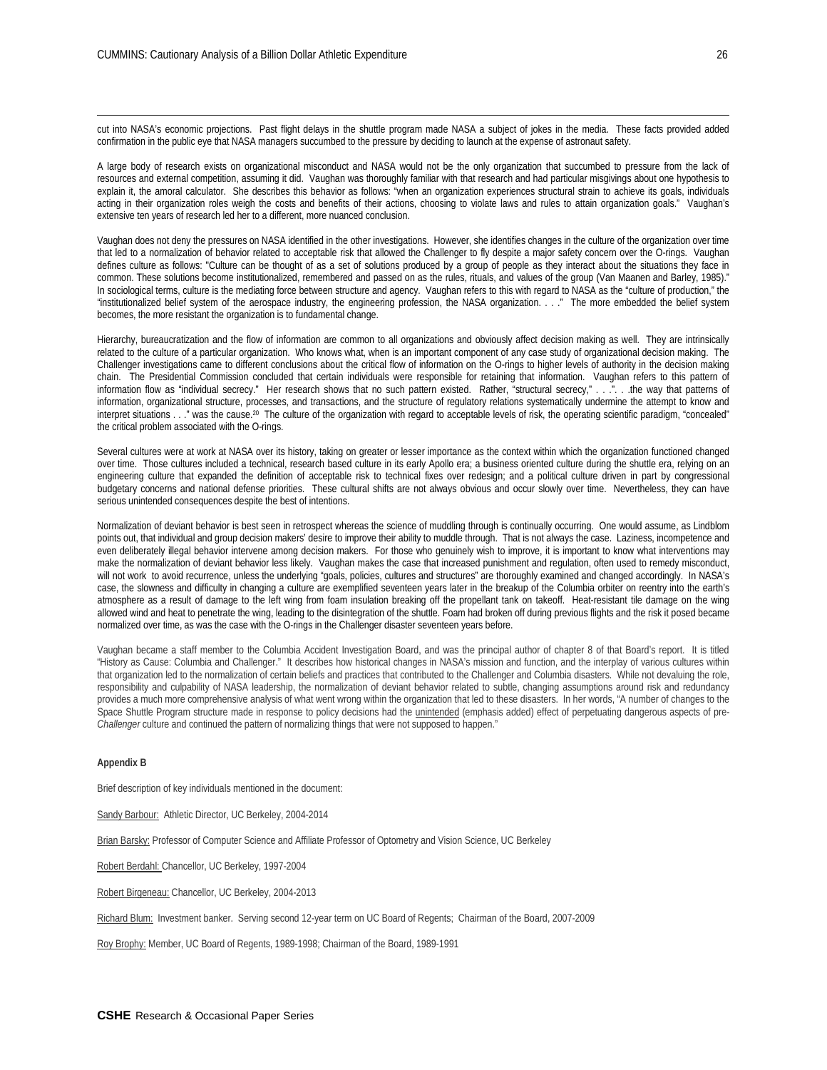cut into NASA's economic projections. Past flight delays in the shuttle program made NASA a subject of jokes in the media. These facts provided added confirmation in the public eye that NASA managers succumbed to the pressure by deciding to launch at the expense of astronaut safety.

A large body of research exists on organizational misconduct and NASA would not be the only organization that succumbed to pressure from the lack of resources and external competition, assuming it did. Vaughan was thoroughly familiar with that research and had particular misgivings about one hypothesis to explain it, the amoral calculator. She describes this behavior as follows: "when an organization experiences structural strain to achieve its goals, individuals acting in their organization roles weigh the costs and benefits of their actions, choosing to violate laws and rules to attain organization goals." Vaughan's extensive ten years of research led her to a different, more nuanced conclusion.

Vaughan does not deny the pressures on NASA identified in the other investigations. However, she identifies changes in the culture of the organization over time that led to a normalization of behavior related to acceptable risk that allowed the Challenger to fly despite a major safety concern over the O-rings. Vaughan defines culture as follows: "Culture can be thought of as a set of solutions produced by a group of people as they interact about the situations they face in common. These solutions become institutionalized, remembered and passed on as the rules, rituals, and values of the group (Van Maanen and Barley, 1985)." In sociological terms, culture is the mediating force between structure and agency. Vaughan refers to this with regard to NASA as the "culture of production," the "institutionalized belief system of the aerospace industry, the engineering profession, the NASA organization. . . ." The more embedded the belief system becomes, the more resistant the organization is to fundamental change.

Hierarchy, bureaucratization and the flow of information are common to all organizations and obviously affect decision making as well. They are intrinsically related to the culture of a particular organization. Who knows what, when is an important component of any case study of organizational decision making. The Challenger investigations came to different conclusions about the critical flow of information on the O-rings to higher levels of authority in the decision making chain. The Presidential Commission concluded that certain individuals were responsible for retaining that information. Vaughan refers to this pattern of information flow as "individual secrecy." Her research shows that no such pattern existed. Rather, "structural secrecy," . . .". . .the way that patterns of information, organizational structure, processes, and transactions, and the structure of regulatory relations systematically undermine the attempt to know and interpret situations . . ." was the cause.20 The culture of the organization with regard to acceptable levels of risk, the operating scientific paradigm, "concealed" the critical problem associated with the O-rings.

Several cultures were at work at NASA over its history, taking on greater or lesser importance as the context within which the organization functioned changed over time. Those cultures included a technical, research based culture in its early Apollo era; a business oriented culture during the shuttle era, relying on an engineering culture that expanded the definition of acceptable risk to technical fixes over redesign; and a political culture driven in part by congressional budgetary concerns and national defense priorities. These cultural shifts are not always obvious and occur slowly over time. Nevertheless, they can have serious unintended consequences despite the best of intentions.

Normalization of deviant behavior is best seen in retrospect whereas the science of muddling through is continually occurring. One would assume, as Lindblom points out, that individual and group decision makers' desire to improve their ability to muddle through. That is not always the case. Laziness, incompetence and even deliberately illegal behavior intervene among decision makers. For those who genuinely wish to improve, it is important to know what interventions may make the normalization of deviant behavior less likely. Vaughan makes the case that increased punishment and regulation, often used to remedy misconduct, will not work to avoid recurrence, unless the underlying "goals, policies, cultures and structures" are thoroughly examined and changed accordingly. In NASA's case, the slowness and difficulty in changing a culture are exemplified seventeen years later in the breakup of the Columbia orbiter on reentry into the earth's atmosphere as a result of damage to the left wing from foam insulation breaking off the propellant tank on takeoff. Heat-resistant tile damage on the wing allowed wind and heat to penetrate the wing, leading to the disintegration of the shuttle. Foam had broken off during previous flights and the risk it posed became normalized over time, as was the case with the O-rings in the Challenger disaster seventeen years before.

Vaughan became a staff member to the Columbia Accident Investigation Board, and was the principal author of chapter 8 of that Board's report. It is titled "History as Cause: Columbia and Challenger." It describes how historical changes in NASA's mission and function, and the interplay of various cultures within that organization led to the normalization of certain beliefs and practices that contributed to the Challenger and Columbia disasters. While not devaluing the role, responsibility and culpability of NASA leadership, the normalization of deviant behavior related to subtle, changing assumptions around risk and redundancy provides a much more comprehensive analysis of what went wrong within the organization that led to these disasters. In her words, "A number of changes to the Space Shuttle Program structure made in response to policy decisions had the *unintended* (emphasis added) effect of perpetuating dangerous aspects of pre-*Challenger* culture and continued the pattern of normalizing things that were not supposed to happen."

#### **Appendix B**

-

Brief description of key individuals mentioned in the document:

Sandy Barbour: Athletic Director, UC Berkeley, 2004-2014

Brian Barsky: Professor of Computer Science and Affiliate Professor of Optometry and Vision Science, UC Berkeley

Robert Berdahl: Chancellor, UC Berkeley, 1997-2004

Robert Birgeneau: Chancellor, UC Berkeley, 2004-2013

Richard Blum: Investment banker. Serving second 12-year term on UC Board of Regents; Chairman of the Board, 2007-2009

Roy Brophy: Member, UC Board of Regents, 1989-1998; Chairman of the Board, 1989-1991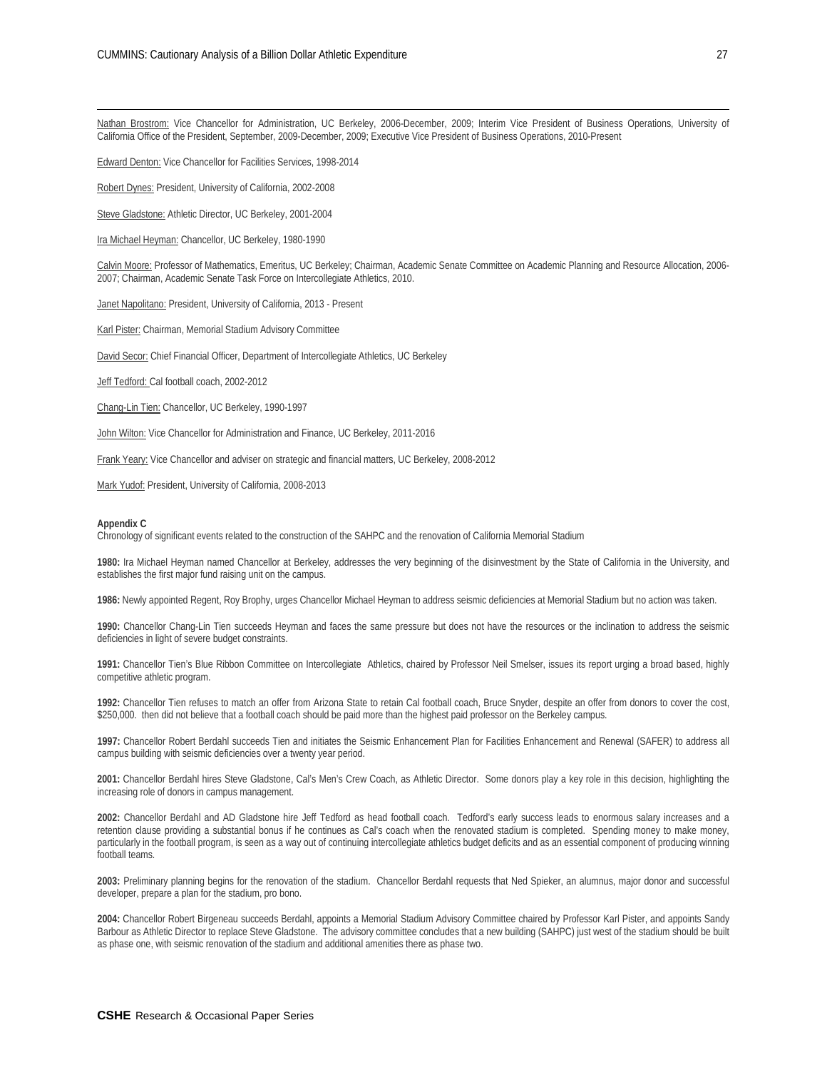Nathan Brostrom: Vice Chancellor for Administration, UC Berkeley, 2006-December, 2009; Interim Vice President of Business Operations, University of California Office of the President, September, 2009-December, 2009; Executive Vice President of Business Operations, 2010-Present

Edward Denton: Vice Chancellor for Facilities Services, 1998-2014

Robert Dynes: President, University of California, 2002-2008

Steve Gladstone: Athletic Director, UC Berkeley, 2001-2004

Ira Michael Heyman: Chancellor, UC Berkeley, 1980-1990

Calvin Moore: Professor of Mathematics, Emeritus, UC Berkeley; Chairman, Academic Senate Committee on Academic Planning and Resource Allocation, 2006-2007; Chairman, Academic Senate Task Force on Intercollegiate Athletics, 2010.

Janet Napolitano: President, University of California, 2013 - Present

Karl Pister: Chairman, Memorial Stadium Advisory Committee

David Secor: Chief Financial Officer, Department of Intercollegiate Athletics, UC Berkeley

Jeff Tedford: Cal football coach, 2002-2012

Chang-Lin Tien: Chancellor, UC Berkeley, 1990-1997

John Wilton: Vice Chancellor for Administration and Finance, UC Berkeley, 2011-2016

Frank Yeary: Vice Chancellor and adviser on strategic and financial matters, UC Berkeley, 2008-2012

Mark Yudof: President, University of California, 2008-2013

#### **Appendix C**

-

Chronology of significant events related to the construction of the SAHPC and the renovation of California Memorial Stadium

**1980:** Ira Michael Heyman named Chancellor at Berkeley, addresses the very beginning of the disinvestment by the State of California in the University, and establishes the first major fund raising unit on the campus.

**1986:** Newly appointed Regent, Roy Brophy, urges Chancellor Michael Heyman to address seismic deficiencies at Memorial Stadium but no action was taken.

**1990:** Chancellor Chang-Lin Tien succeeds Heyman and faces the same pressure but does not have the resources or the inclination to address the seismic deficiencies in light of severe budget constraints.

**1991:** Chancellor Tien's Blue Ribbon Committee on Intercollegiate Athletics, chaired by Professor Neil Smelser, issues its report urging a broad based, highly competitive athletic program.

**1992:** Chancellor Tien refuses to match an offer from Arizona State to retain Cal football coach, Bruce Snyder, despite an offer from donors to cover the cost, \$250,000. then did not believe that a football coach should be paid more than the highest paid professor on the Berkeley campus.

**1997:** Chancellor Robert Berdahl succeeds Tien and initiates the Seismic Enhancement Plan for Facilities Enhancement and Renewal (SAFER) to address all campus building with seismic deficiencies over a twenty year period.

**2001:** Chancellor Berdahl hires Steve Gladstone, Cal's Men's Crew Coach, as Athletic Director. Some donors play a key role in this decision, highlighting the increasing role of donors in campus management.

**2002:** Chancellor Berdahl and AD Gladstone hire Jeff Tedford as head football coach. Tedford's early success leads to enormous salary increases and a retention clause providing a substantial bonus if he continues as Cal's coach when the renovated stadium is completed. Spending money to make money, particularly in the football program, is seen as a way out of continuing intercollegiate athletics budget deficits and as an essential component of producing winning football teams.

**2003:** Preliminary planning begins for the renovation of the stadium. Chancellor Berdahl requests that Ned Spieker, an alumnus, major donor and successful developer, prepare a plan for the stadium, pro bono.

**2004:** Chancellor Robert Birgeneau succeeds Berdahl, appoints a Memorial Stadium Advisory Committee chaired by Professor Karl Pister, and appoints Sandy Barbour as Athletic Director to replace Steve Gladstone. The advisory committee concludes that a new building (SAHPC) just west of the stadium should be built as phase one, with seismic renovation of the stadium and additional amenities there as phase two.